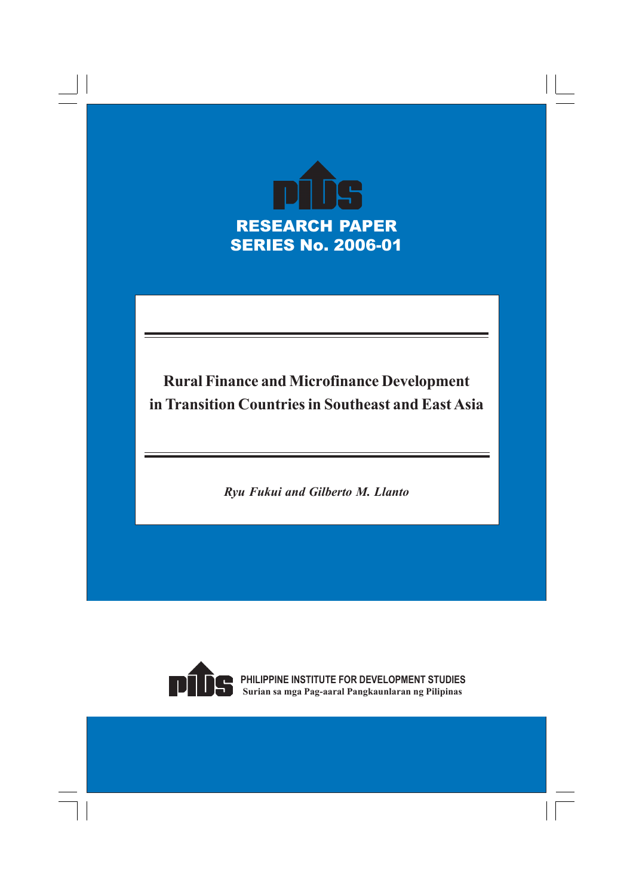

# **Rural Finance and Microfinance Development in Transition Countries in Southeast and East Asia**

*Ryu Fukui and Gilberto M. Llanto*



**PHILIPPINE INSTITUTE FOR DEVELOPMENT STUDIES Surian sa mga Pag-aaral Pangkaunlaran ng Pilipinas**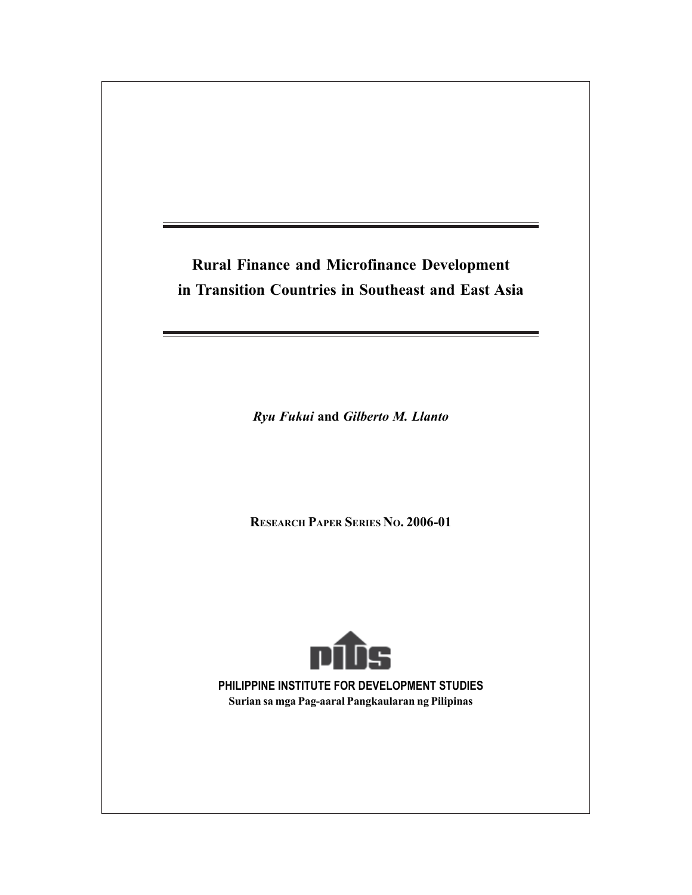# **Rural Finance and Microfinance Development in Transition Countries in Southeast and East Asia**

*Ryu Fukui* **and** *Gilberto M. Llanto*

**RESEARCH PAPER SERIES NO. 2006-01**



**PHILIPPINE INSTITUTE FOR DEVELOPMENT STUDIES Surian sa mga Pag-aaral Pangkaularan ng Pilipinas**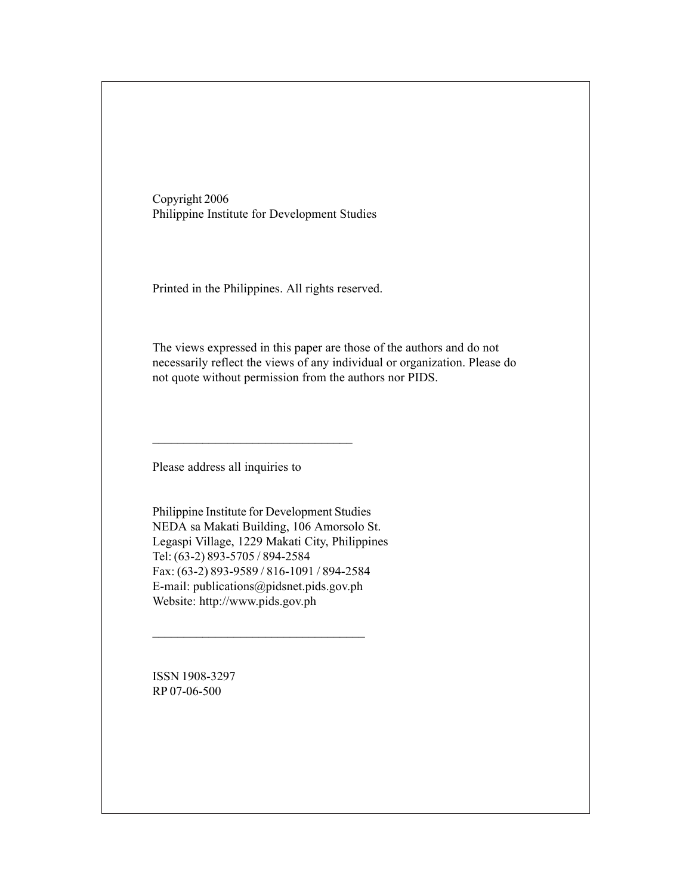Copyright 2006 Philippine Institute for Development Studies

Printed in the Philippines. All rights reserved.

The views expressed in this paper are those of the authors and do not necessarily reflect the views of any individual or organization. Please do not quote without permission from the authors nor PIDS.

Please address all inquiries to

\_\_\_\_\_\_\_\_\_\_\_\_\_\_\_\_\_\_\_\_\_\_\_\_\_\_\_\_\_\_\_\_

Philippine Institute for Development Studies NEDA sa Makati Building, 106 Amorsolo St. Legaspi Village, 1229 Makati City, Philippines Tel: (63-2) 893-5705 / 894-2584 Fax: (63-2) 893-9589 / 816-1091 / 894-2584 E-mail: publications@pidsnet.pids.gov.ph Website: http://www.pids.gov.ph

 $\overline{\phantom{a}}$  , where  $\overline{\phantom{a}}$  , where  $\overline{\phantom{a}}$  ,  $\overline{\phantom{a}}$  ,  $\overline{\phantom{a}}$  ,  $\overline{\phantom{a}}$  ,  $\overline{\phantom{a}}$  ,  $\overline{\phantom{a}}$  ,  $\overline{\phantom{a}}$  ,  $\overline{\phantom{a}}$  ,  $\overline{\phantom{a}}$  ,  $\overline{\phantom{a}}$  ,  $\overline{\phantom{a}}$  ,  $\overline{\phantom{a}}$  ,  $\overline{\phantom{a}}$  ,

ISSN 1908-3297 RP 07-06-500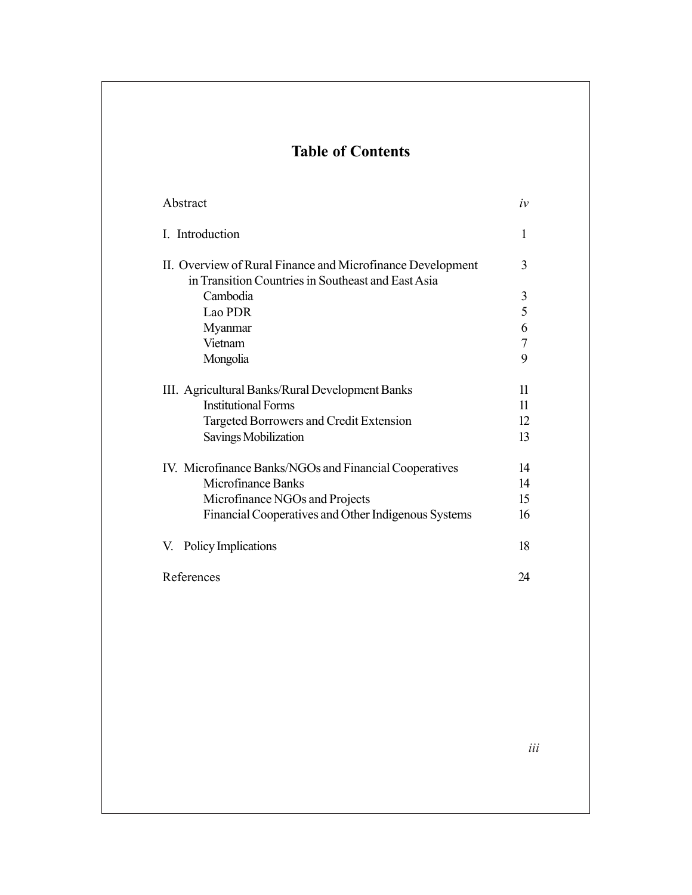# **Table of Contents**

| Abstract                                                                                                         | iv |
|------------------------------------------------------------------------------------------------------------------|----|
| I. Introduction                                                                                                  | 1  |
| II. Overview of Rural Finance and Microfinance Development<br>in Transition Countries in Southeast and East Asia | 3  |
| Cambodia                                                                                                         | 3  |
| Lao PDR                                                                                                          | 5  |
| Myanmar                                                                                                          | 6  |
| Vietnam                                                                                                          | 7  |
| Mongolia                                                                                                         | 9  |
| III. Agricultural Banks/Rural Development Banks                                                                  | 11 |
| <b>Institutional Forms</b>                                                                                       | 11 |
| Targeted Borrowers and Credit Extension                                                                          | 12 |
| Savings Mobilization                                                                                             | 13 |
| IV. Microfinance Banks/NGOs and Financial Cooperatives                                                           | 14 |
| Microfinance Banks                                                                                               | 14 |
| Microfinance NGOs and Projects                                                                                   | 15 |
| Financial Cooperatives and Other Indigenous Systems                                                              | 16 |
| V. Policy Implications                                                                                           | 18 |
| References                                                                                                       | 24 |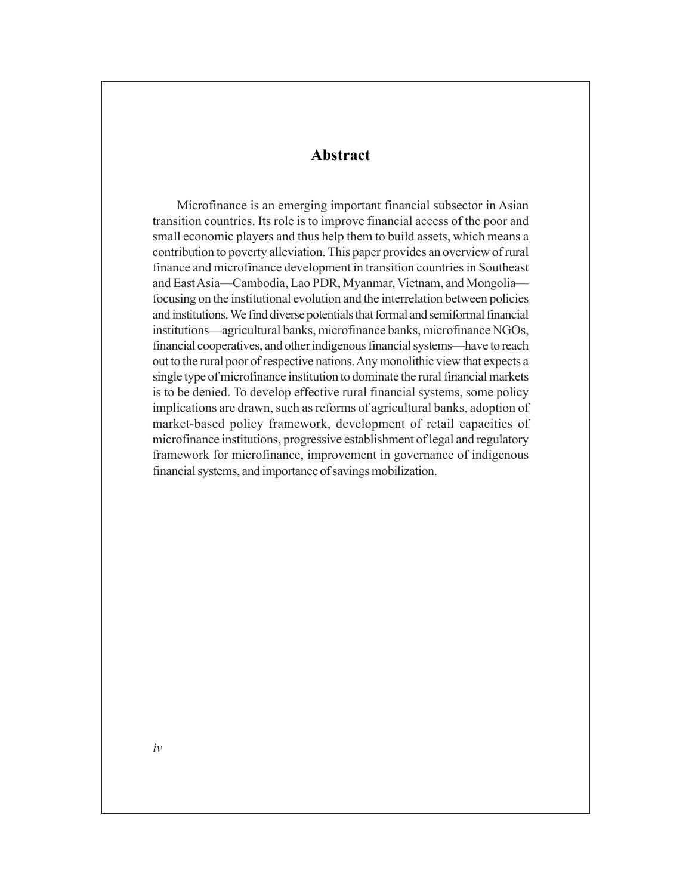### **Abstract**

Microfinance is an emerging important financial subsector in Asian transition countries. Its role is to improve financial access of the poor and small economic players and thus help them to build assets, which means a contribution to poverty alleviation. This paper provides an overview of rural finance and microfinance development in transition countries in Southeast and East Asia—Cambodia, Lao PDR, Myanmar, Vietnam, and Mongolia focusing on the institutional evolution and the interrelation between policies and institutions. We find diverse potentials that formal and semiformal financial institutions—agricultural banks, microfinance banks, microfinance NGOs, financial cooperatives, and other indigenous financial systems—have to reach out to the rural poor of respective nations. Any monolithic view that expects a single type of microfinance institution to dominate the rural financial markets is to be denied. To develop effective rural financial systems, some policy implications are drawn, such as reforms of agricultural banks, adoption of market-based policy framework, development of retail capacities of microfinance institutions, progressive establishment of legal and regulatory framework for microfinance, improvement in governance of indigenous financial systems, and importance of savings mobilization.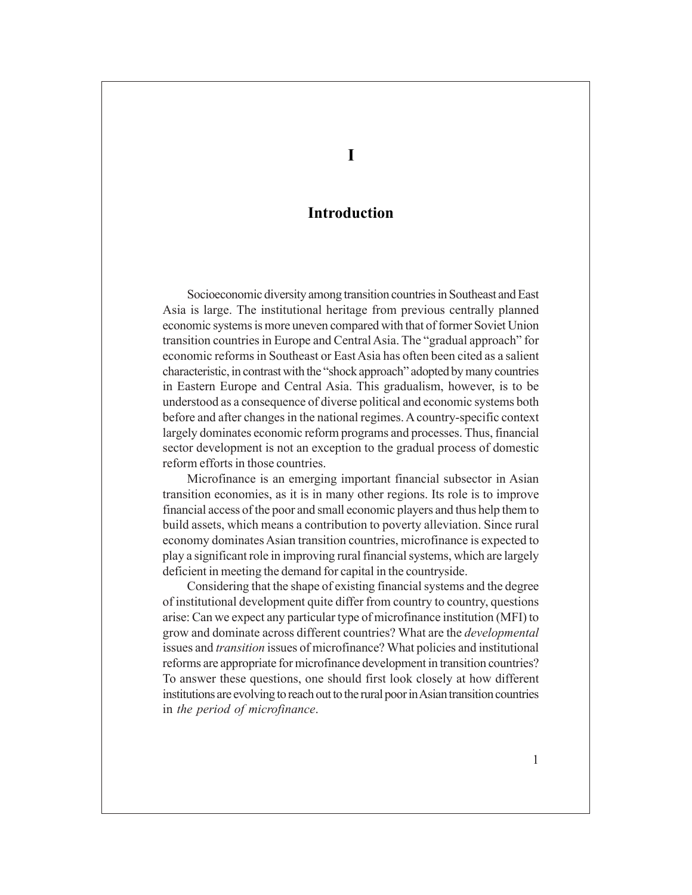## **Introduction**

Socioeconomic diversity among transition countries in Southeast and East Asia is large. The institutional heritage from previous centrally planned economic systems is more uneven compared with that of former Soviet Union transition countries in Europe and Central Asia. The "gradual approach" for economic reforms in Southeast or East Asia has often been cited as a salient characteristic, in contrast with the "shock approach" adopted by many countries in Eastern Europe and Central Asia. This gradualism, however, is to be understood as a consequence of diverse political and economic systems both before and after changes in the national regimes. A country-specific context largely dominates economic reform programs and processes. Thus, financial sector development is not an exception to the gradual process of domestic reform efforts in those countries.

Microfinance is an emerging important financial subsector in Asian transition economies, as it is in many other regions. Its role is to improve financial access of the poor and small economic players and thus help them to build assets, which means a contribution to poverty alleviation. Since rural economy dominates Asian transition countries, microfinance is expected to play a significant role in improving rural financial systems, which are largely deficient in meeting the demand for capital in the countryside.

Considering that the shape of existing financial systems and the degree of institutional development quite differ from country to country, questions arise: Can we expect any particular type of microfinance institution (MFI) to grow and dominate across different countries? What are the *developmental* issues and *transition* issues of microfinance? What policies and institutional reforms are appropriate for microfinance development in transition countries? To answer these questions, one should first look closely at how different institutions are evolving to reach out to the rural poor in Asian transition countries in *the period of microfinance*.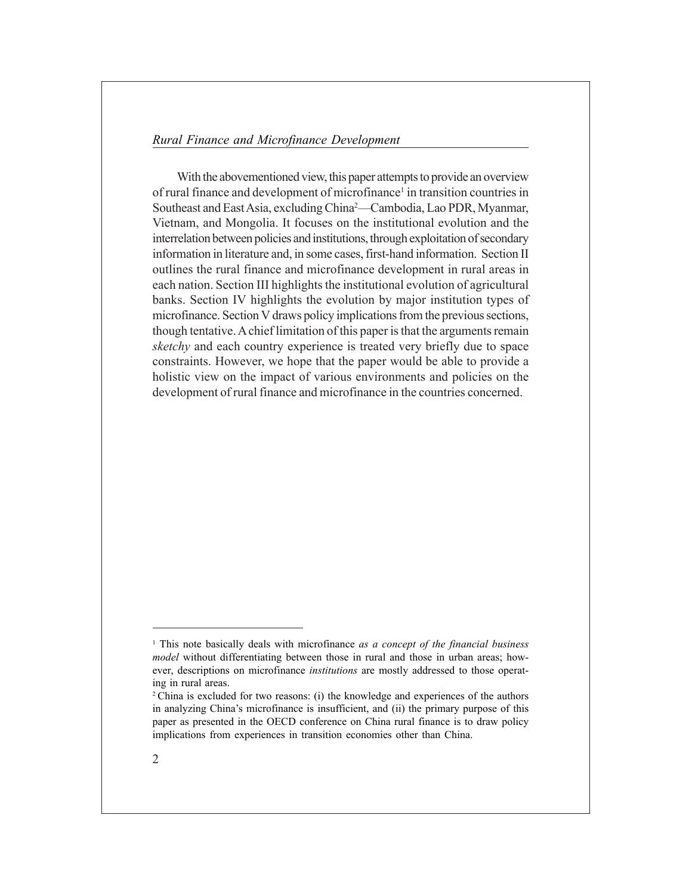With the abovementioned view, this paper attempts to provide an overview of rural finance and development of microfinance<sup>1</sup> in transition countries in Southeast and East Asia, excluding China<sup>2</sup>—Cambodia, Lao PDR, Myanmar, Vietnam, and Mongolia. It focuses on the institutional evolution and the interrelation between policies and institutions, through exploitation of secondary information in literature and, in some cases, first-hand information. Section II outlines the rural finance and microfinance development in rural areas in each nation. Section III highlights the institutional evolution of agricultural banks. Section IV highlights the evolution by major institution types of microfinance. Section V draws policy implications from the previous sections, though tentative.A chief limitation of this paper is that the arguments remain *sketchy* and each country experience is treated very briefly due to space constraints. However, we hope that the paper would be able to provide a holistic view on the impact of various environments and policies on the development of rural finance and microfinance in the countries concerned.

<sup>&</sup>lt;sup>1</sup> This note basically deals with microfinance *as a concept of the financial business model* without differentiating between those in rural and those in urban areas; however, descriptions on microfinance *institutions* are mostly addressed to those operating in rural areas.

<sup>2</sup> China is excluded for two reasons: (i) the knowledge and experiences of the authors in analyzing China's microfinance is insufficient, and (ii) the primary purpose of this paper as presented in the OECD conference on China rural finance is to draw policy implications from experiences in transition economies other than China.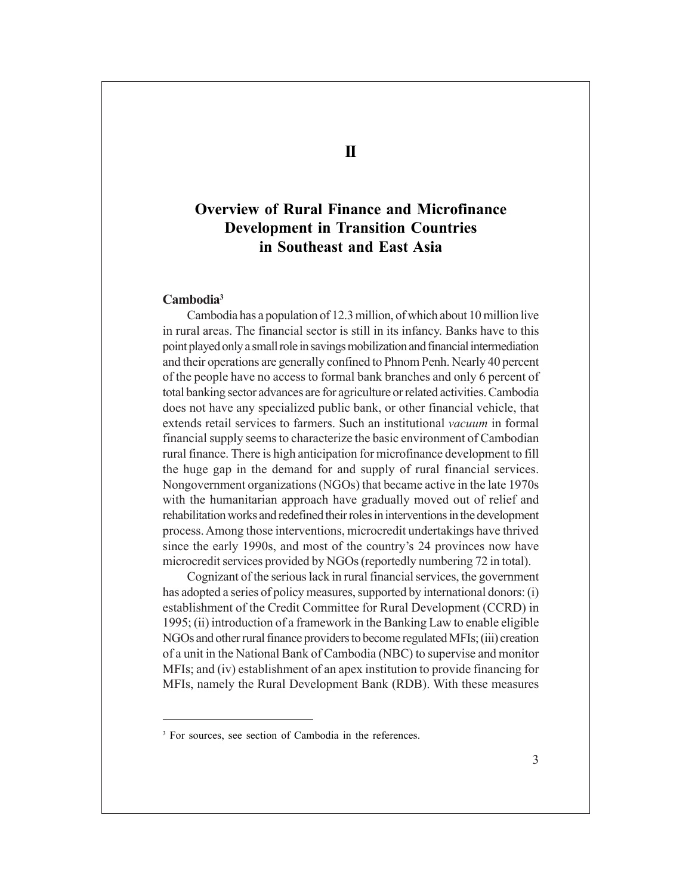# **Overview of Rural Finance and Microfinance Development in Transition Countries in Southeast and East Asia**

#### **Cambodia3**

Cambodia has a population of 12.3 million, of which about 10 million live in rural areas. The financial sector is still in its infancy. Banks have to this point played only a small role in savings mobilization and financial intermediation and their operations are generally confined to Phnom Penh. Nearly 40 percent of the people have no access to formal bank branches and only 6 percent of total banking sector advances are for agriculture or related activities. Cambodia does not have any specialized public bank, or other financial vehicle, that extends retail services to farmers. Such an institutional *vacuum* in formal financial supply seems to characterize the basic environment of Cambodian rural finance. There is high anticipation for microfinance development to fill the huge gap in the demand for and supply of rural financial services. Nongovernment organizations (NGOs) that became active in the late 1970s with the humanitarian approach have gradually moved out of relief and rehabilitation works and redefined their roles in interventions in the development process. Among those interventions, microcredit undertakings have thrived since the early 1990s, and most of the country's 24 provinces now have microcredit services provided by NGOs (reportedly numbering 72 in total).

Cognizant of the serious lack in rural financial services, the government has adopted a series of policy measures, supported by international donors: (i) establishment of the Credit Committee for Rural Development (CCRD) in 1995; (ii) introduction of a framework in the Banking Law to enable eligible NGOs and other rural finance providers to become regulated MFIs; (iii) creation of a unit in the National Bank of Cambodia (NBC) to supervise and monitor MFIs; and (iv) establishment of an apex institution to provide financing for MFIs, namely the Rural Development Bank (RDB). With these measures

<sup>3</sup> For sources, see section of Cambodia in the references.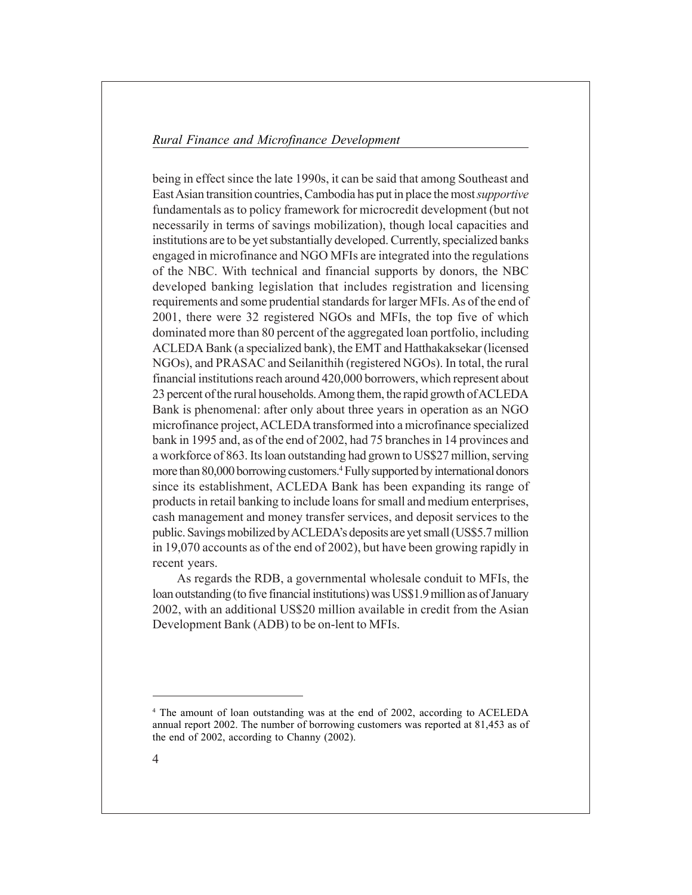being in effect since the late 1990s, it can be said that among Southeast and East Asian transition countries, Cambodia has put in place the most *supportive* fundamentals as to policy framework for microcredit development (but not necessarily in terms of savings mobilization), though local capacities and institutions are to be yet substantially developed. Currently, specialized banks engaged in microfinance and NGO MFIs are integrated into the regulations of the NBC. With technical and financial supports by donors, the NBC developed banking legislation that includes registration and licensing requirements and some prudential standards for larger MFIs. As of the end of 2001, there were 32 registered NGOs and MFIs, the top five of which dominated more than 80 percent of the aggregated loan portfolio, including ACLEDA Bank (a specialized bank), the EMT and Hatthakaksekar (licensed NGOs), and PRASAC and Seilanithih (registered NGOs). In total, the rural financial institutions reach around 420,000 borrowers, which represent about 23 percent of the rural households. Among them, the rapid growth of ACLEDA Bank is phenomenal: after only about three years in operation as an NGO microfinance project, ACLEDA transformed into a microfinance specialized bank in 1995 and, as of the end of 2002, had 75 branches in 14 provinces and a workforce of 863. Its loan outstanding had grown to US\$27 million, serving more than 80,000 borrowing customers.<sup>4</sup> Fully supported by international donors since its establishment, ACLEDA Bank has been expanding its range of products in retail banking to include loans for small and medium enterprises, cash management and money transfer services, and deposit services to the public. Savings mobilized by ACLEDAís deposits are yet small (US\$5.7 million in 19,070 accounts as of the end of 2002), but have been growing rapidly in recent years.

As regards the RDB, a governmental wholesale conduit to MFIs, the loan outstanding (to five financial institutions) was US\$1.9 million as of January 2002, with an additional US\$20 million available in credit from the Asian Development Bank (ADB) to be on-lent to MFIs.

<sup>4</sup> The amount of loan outstanding was at the end of 2002, according to ACELEDA annual report 2002. The number of borrowing customers was reported at 81,453 as of the end of 2002, according to Channy (2002).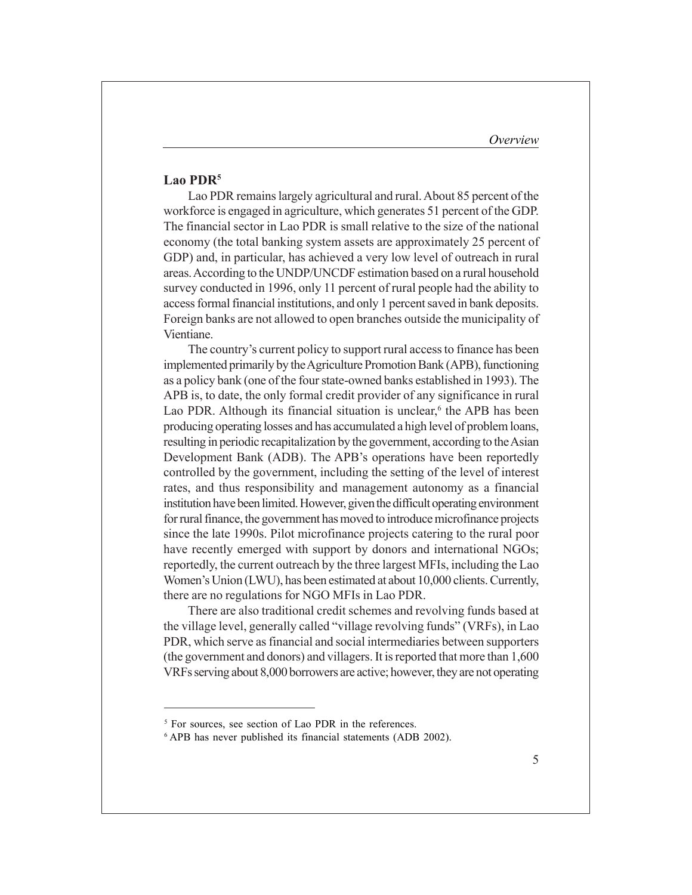#### **Lao PDR5**

Lao PDR remains largely agricultural and rural. About 85 percent of the workforce is engaged in agriculture, which generates 51 percent of the GDP. The financial sector in Lao PDR is small relative to the size of the national economy (the total banking system assets are approximately 25 percent of GDP) and, in particular, has achieved a very low level of outreach in rural areas. According to the UNDP/UNCDF estimation based on a rural household survey conducted in 1996, only 11 percent of rural people had the ability to access formal financial institutions, and only 1 percent saved in bank deposits. Foreign banks are not allowed to open branches outside the municipality of Vientiane.

The country's current policy to support rural access to finance has been implemented primarily by the Agriculture Promotion Bank (APB), functioning as a policy bank (one of the four state-owned banks established in 1993). The APB is, to date, the only formal credit provider of any significance in rural Lao PDR. Although its financial situation is unclear, $6$  the APB has been producing operating losses and has accumulated a high level of problem loans, resulting in periodic recapitalization by the government, according to the Asian Development Bank (ADB). The APB's operations have been reportedly controlled by the government, including the setting of the level of interest rates, and thus responsibility and management autonomy as a financial institution have been limited. However, given the difficult operating environment for rural finance, the government has moved to introduce microfinance projects since the late 1990s. Pilot microfinance projects catering to the rural poor have recently emerged with support by donors and international NGOs; reportedly, the current outreach by the three largest MFIs, including the Lao Women's Union (LWU), has been estimated at about 10,000 clients. Currently, there are no regulations for NGO MFIs in Lao PDR.

There are also traditional credit schemes and revolving funds based at the village level, generally called "village revolving funds" (VRFs), in Lao PDR, which serve as financial and social intermediaries between supporters (the government and donors) and villagers. It is reported that more than 1,600 VRFs serving about 8,000 borrowers are active; however, they are not operating

<sup>5</sup> For sources, see section of Lao PDR in the references.

<sup>6</sup> APB has never published its financial statements (ADB 2002).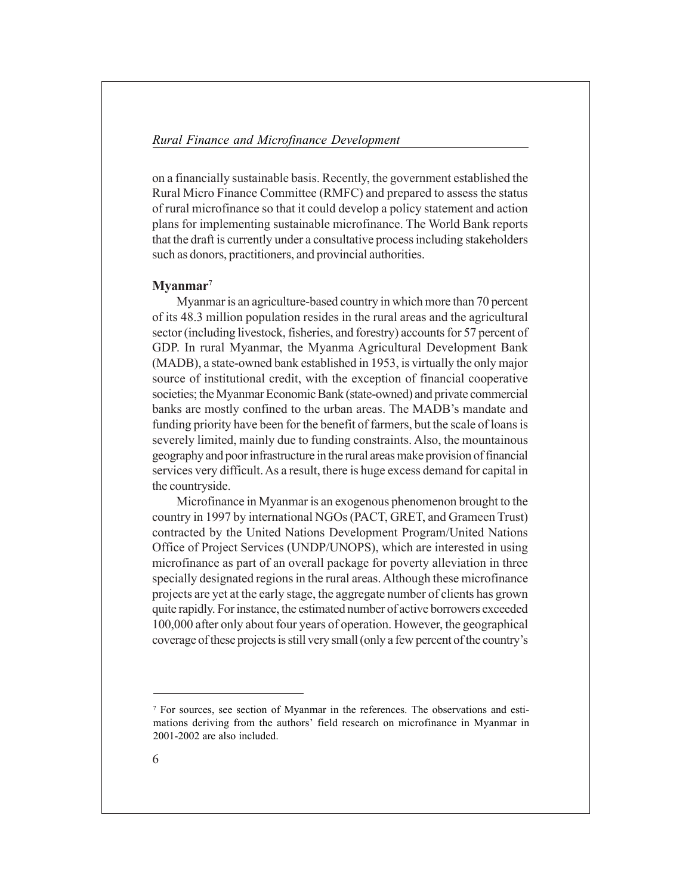on a financially sustainable basis. Recently, the government established the Rural Micro Finance Committee (RMFC) and prepared to assess the status of rural microfinance so that it could develop a policy statement and action plans for implementing sustainable microfinance. The World Bank reports that the draft is currently under a consultative process including stakeholders such as donors, practitioners, and provincial authorities.

### **Myanmar7**

Myanmar is an agriculture-based country in which more than 70 percent of its 48.3 million population resides in the rural areas and the agricultural sector (including livestock, fisheries, and forestry) accounts for 57 percent of GDP. In rural Myanmar, the Myanma Agricultural Development Bank (MADB), a state-owned bank established in 1953, is virtually the only major source of institutional credit, with the exception of financial cooperative societies; the Myanmar Economic Bank (state-owned) and private commercial banks are mostly confined to the urban areas. The MADB's mandate and funding priority have been for the benefit of farmers, but the scale of loans is severely limited, mainly due to funding constraints. Also, the mountainous geography and poor infrastructure in the rural areas make provision of financial services very difficult. As a result, there is huge excess demand for capital in the countryside.

Microfinance in Myanmar is an exogenous phenomenon brought to the country in 1997 by international NGOs (PACT, GRET, and Grameen Trust) contracted by the United Nations Development Program/United Nations Office of Project Services (UNDP/UNOPS), which are interested in using microfinance as part of an overall package for poverty alleviation in three specially designated regions in the rural areas. Although these microfinance projects are yet at the early stage, the aggregate number of clients has grown quite rapidly. For instance, the estimated number of active borrowers exceeded 100,000 after only about four years of operation. However, the geographical coverage of these projects is still very small (only a few percent of the country's

<sup>7</sup> For sources, see section of Myanmar in the references. The observations and estimations deriving from the authors' field research on microfinance in Myanmar in 2001-2002 are also included.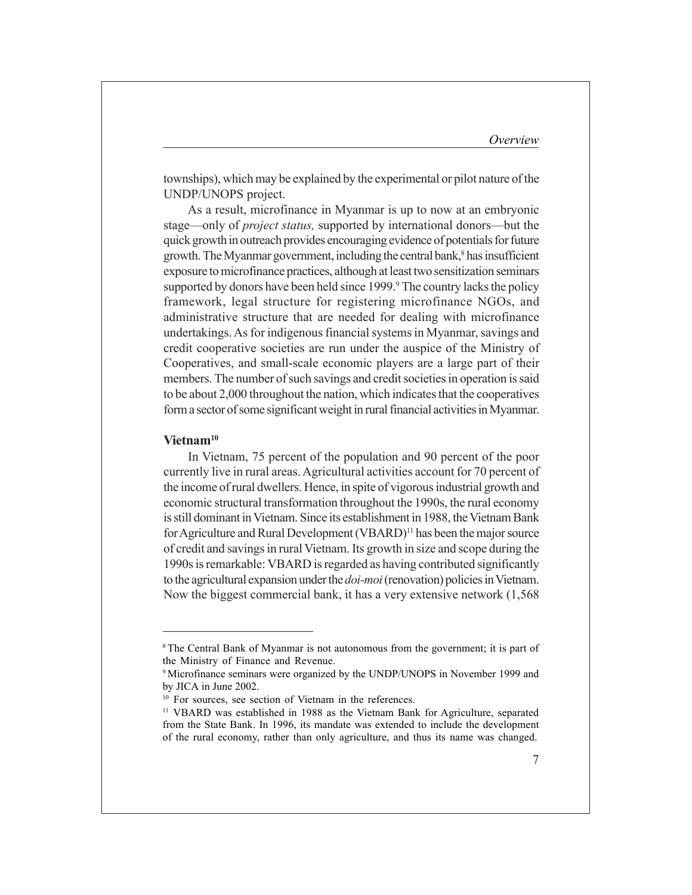townships), which may be explained by the experimental or pilot nature of the UNDP/UNOPS project.

As a result, microfinance in Myanmar is up to now at an embryonic stage—only of *project status*, supported by international donors—but the quick growth in outreach provides encouraging evidence of potentials for future growth. The Myanmar government, including the central bank,<sup>8</sup> has insufficient exposure to microfinance practices, although at least two sensitization seminars supported by donors have been held since 1999.<sup>9</sup> The country lacks the policy framework, legal structure for registering microfinance NGOs, and administrative structure that are needed for dealing with microfinance undertakings. As for indigenous financial systems in Myanmar, savings and credit cooperative societies are run under the auspice of the Ministry of Cooperatives, and small-scale economic players are a large part of their members. The number of such savings and credit societies in operation is said to be about 2,000 throughout the nation, which indicates that the cooperatives form a sector of some significant weight in rural financial activities in Myanmar.

#### **Vietnam10**

In Vietnam, 75 percent of the population and 90 percent of the poor currently live in rural areas. Agricultural activities account for 70 percent of the income of rural dwellers. Hence, in spite of vigorous industrial growth and economic structural transformation throughout the 1990s, the rural economy is still dominant in Vietnam. Since its establishment in 1988, the Vietnam Bank for Agriculture and Rural Development (VBARD)<sup>11</sup> has been the major source of credit and savings in rural Vietnam. Its growth in size and scope during the 1990s is remarkable: VBARD is regarded as having contributed significantly to the agricultural expansion under the *doi-moi* (renovation) policies in Vietnam. Now the biggest commercial bank, it has a very extensive network (1,568

<sup>&</sup>lt;sup>8</sup> The Central Bank of Myanmar is not autonomous from the government; it is part of the Ministry of Finance and Revenue.

<sup>9</sup> Microfinance seminars were organized by the UNDP/UNOPS in November 1999 and by JICA in June 2002.

<sup>&</sup>lt;sup>10</sup> For sources, see section of Vietnam in the references.

<sup>11</sup> VBARD was established in 1988 as the Vietnam Bank for Agriculture, separated from the State Bank. In 1996, its mandate was extended to include the development of the rural economy, rather than only agriculture, and thus its name was changed.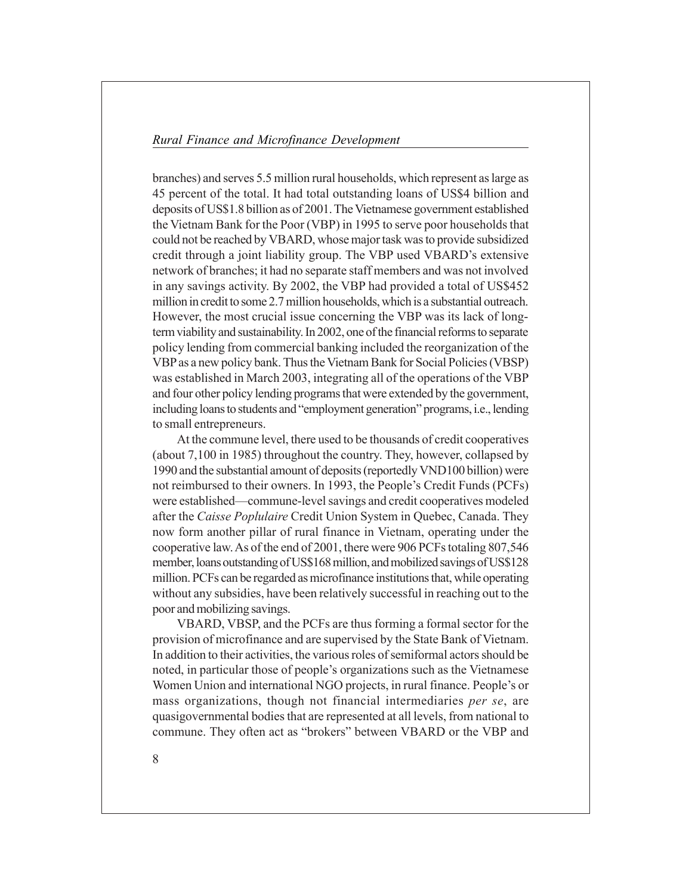branches) and serves 5.5 million rural households, which represent as large as 45 percent of the total. It had total outstanding loans of US\$4 billion and deposits of US\$1.8 billion as of 2001. The Vietnamese government established the Vietnam Bank for the Poor (VBP) in 1995 to serve poor households that could not be reached by VBARD, whose major task was to provide subsidized credit through a joint liability group. The VBP used VBARD's extensive network of branches; it had no separate staff members and was not involved in any savings activity. By 2002, the VBP had provided a total of US\$452 million in credit to some 2.7 million households, which is a substantial outreach. However, the most crucial issue concerning the VBP was its lack of longterm viability and sustainability. In 2002, one of the financial reforms to separate policy lending from commercial banking included the reorganization of the VBP as a new policy bank. Thus the Vietnam Bank for Social Policies (VBSP) was established in March 2003, integrating all of the operations of the VBP and four other policy lending programs that were extended by the government, including loans to students and "employment generation" programs, i.e., lending to small entrepreneurs.

At the commune level, there used to be thousands of credit cooperatives (about 7,100 in 1985) throughout the country. They, however, collapsed by 1990 and the substantial amount of deposits (reportedly VND100 billion) were not reimbursed to their owners. In 1993, the People's Credit Funds (PCFs) were established—commune-level savings and credit cooperatives modeled after the *Caisse Poplulaire* Credit Union System in Quebec, Canada. They now form another pillar of rural finance in Vietnam, operating under the cooperative law. As of the end of 2001, there were 906 PCFs totaling 807,546 member, loans outstanding of US\$168 million, and mobilized savings of US\$128 million. PCFs can be regarded as microfinance institutions that, while operating without any subsidies, have been relatively successful in reaching out to the poor and mobilizing savings.

VBARD, VBSP, and the PCFs are thus forming a formal sector for the provision of microfinance and are supervised by the State Bank of Vietnam. In addition to their activities, the various roles of semiformal actors should be noted, in particular those of people's organizations such as the Vietnamese Women Union and international NGO projects, in rural finance. People's or mass organizations, though not financial intermediaries *per se*, are quasigovernmental bodies that are represented at all levels, from national to commune. They often act as "brokers" between VBARD or the VBP and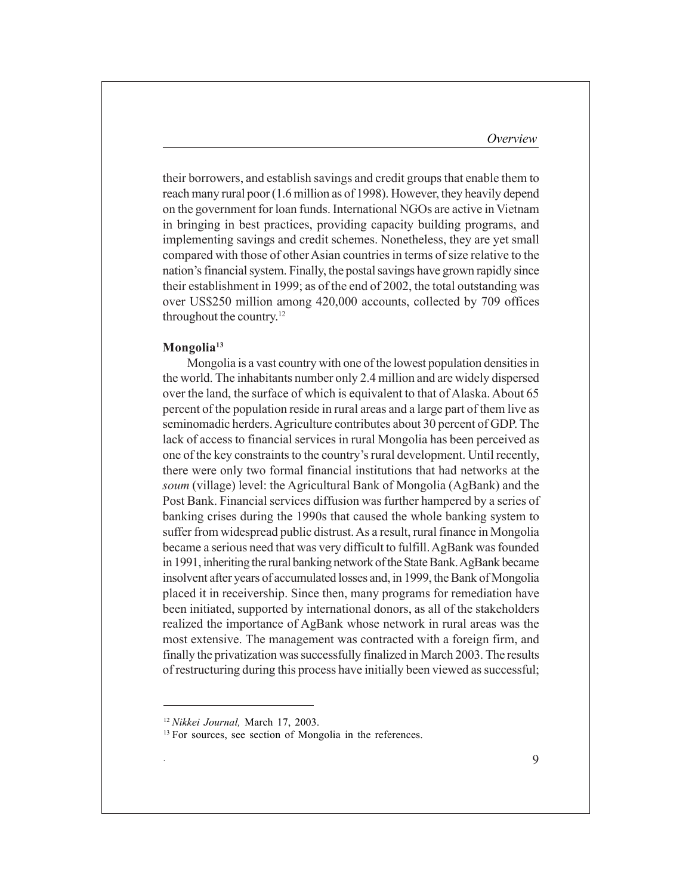their borrowers, and establish savings and credit groups that enable them to reach many rural poor (1.6 million as of 1998). However, they heavily depend on the government for loan funds. International NGOs are active in Vietnam in bringing in best practices, providing capacity building programs, and implementing savings and credit schemes. Nonetheless, they are yet small compared with those of other Asian countries in terms of size relative to the nation's financial system. Finally, the postal savings have grown rapidly since their establishment in 1999; as of the end of 2002, the total outstanding was over US\$250 million among 420,000 accounts, collected by 709 offices throughout the country.12

#### **Mongolia13**

Mongolia is a vast country with one of the lowest population densities in the world. The inhabitants number only 2.4 million and are widely dispersed over the land, the surface of which is equivalent to that of Alaska. About 65 percent of the population reside in rural areas and a large part of them live as seminomadic herders. Agriculture contributes about 30 percent of GDP. The lack of access to financial services in rural Mongolia has been perceived as one of the key constraints to the countryís rural development. Until recently, there were only two formal financial institutions that had networks at the *soum* (village) level: the Agricultural Bank of Mongolia (AgBank) and the Post Bank. Financial services diffusion was further hampered by a series of banking crises during the 1990s that caused the whole banking system to suffer from widespread public distrust. As a result, rural finance in Mongolia became a serious need that was very difficult to fulfill. AgBank was founded in 1991, inheriting the rural banking network of the State Bank. AgBank became insolvent after years of accumulated losses and, in 1999, the Bank of Mongolia placed it in receivership. Since then, many programs for remediation have been initiated, supported by international donors, as all of the stakeholders realized the importance of AgBank whose network in rural areas was the most extensive. The management was contracted with a foreign firm, and finally the privatization was successfully finalized in March 2003. The results of restructuring during this process have initially been viewed as successful;

.

<sup>12</sup>*Nikkei Journal,* March 17, 2003.

<sup>&</sup>lt;sup>13</sup> For sources, see section of Mongolia in the references.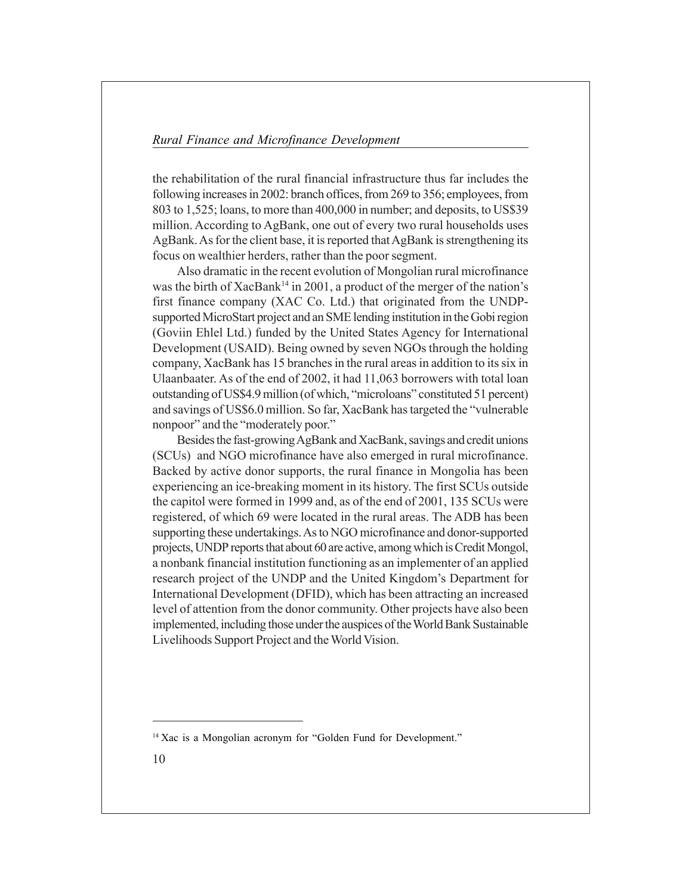the rehabilitation of the rural financial infrastructure thus far includes the following increases in 2002: branch offices, from 269 to 356; employees, from 803 to 1,525; loans, to more than 400,000 in number; and deposits, to US\$39 million. According to AgBank, one out of every two rural households uses AgBank. As for the client base, it is reported that AgBank is strengthening its focus on wealthier herders, rather than the poor segment.

Also dramatic in the recent evolution of Mongolian rural microfinance was the birth of  $XacBank<sup>14</sup>$  in 2001, a product of the merger of the nation's first finance company (XAC Co. Ltd.) that originated from the UNDPsupported MicroStart project and an SME lending institution in the Gobi region (Goviin Ehlel Ltd.) funded by the United States Agency for International Development (USAID). Being owned by seven NGOs through the holding company, XacBank has 15 branches in the rural areas in addition to its six in Ulaanbaater. As of the end of 2002, it had 11,063 borrowers with total loan outstanding of US\$4.9 million (of which, "microloans" constituted 51 percent) and savings of US\$6.0 million. So far, XacBank has targeted the "vulnerable" nonpoor" and the "moderately poor."

Besides the fast-growing AgBank and XacBank, savings and credit unions (SCUs) and NGO microfinance have also emerged in rural microfinance. Backed by active donor supports, the rural finance in Mongolia has been experiencing an ice-breaking moment in its history. The first SCUs outside the capitol were formed in 1999 and, as of the end of 2001, 135 SCUs were registered, of which 69 were located in the rural areas. The ADB has been supporting these undertakings. As to NGO microfinance and donor-supported projects, UNDP reports that about 60 are active, among which is Credit Mongol, a nonbank financial institution functioning as an implementer of an applied research project of the UNDP and the United Kingdom's Department for International Development (DFID), which has been attracting an increased level of attention from the donor community. Other projects have also been implemented, including those under the auspices of the World Bank Sustainable Livelihoods Support Project and the World Vision.

<sup>&</sup>lt;sup>14</sup> Xac is a Mongolian acronym for "Golden Fund for Development."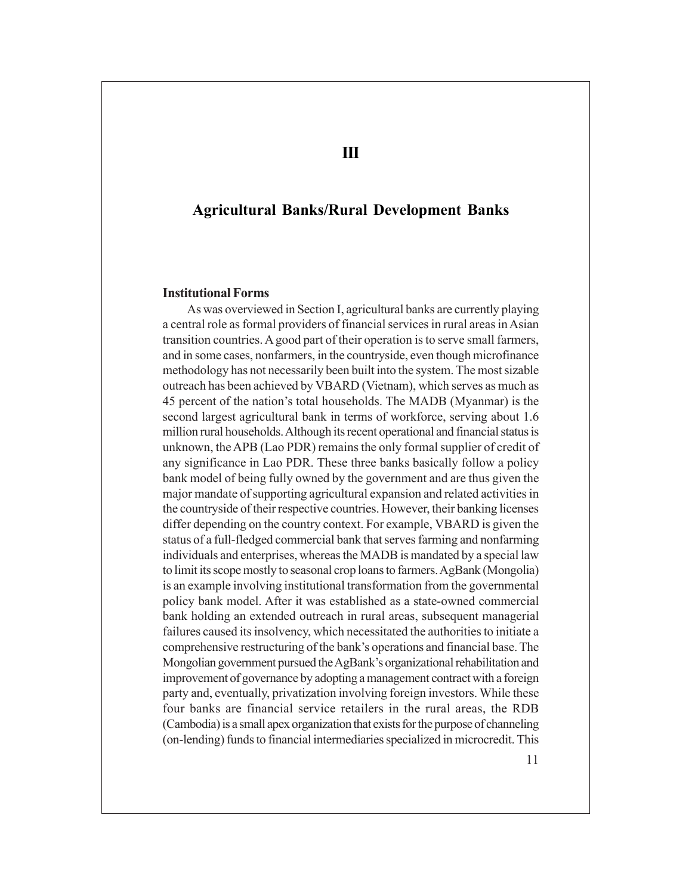## **Agricultural Banks/Rural Development Banks**

#### **Institutional Forms**

As was overviewed in Section I, agricultural banks are currently playing a central role as formal providers of financial services in rural areas in Asian transition countries. A good part of their operation is to serve small farmers, and in some cases, nonfarmers, in the countryside, even though microfinance methodology has not necessarily been built into the system. The most sizable outreach has been achieved by VBARD (Vietnam), which serves as much as 45 percent of the nation's total households. The MADB (Myanmar) is the second largest agricultural bank in terms of workforce, serving about 1.6 million rural households. Although its recent operational and financial status is unknown, the APB (Lao PDR) remains the only formal supplier of credit of any significance in Lao PDR. These three banks basically follow a policy bank model of being fully owned by the government and are thus given the major mandate of supporting agricultural expansion and related activities in the countryside of their respective countries. However, their banking licenses differ depending on the country context. For example, VBARD is given the status of a full-fledged commercial bank that serves farming and nonfarming individuals and enterprises, whereas the MADB is mandated by a special law to limit its scope mostly to seasonal crop loans to farmers. AgBank (Mongolia) is an example involving institutional transformation from the governmental policy bank model. After it was established as a state-owned commercial bank holding an extended outreach in rural areas, subsequent managerial failures caused its insolvency, which necessitated the authorities to initiate a comprehensive restructuring of the bank's operations and financial base. The Mongolian government pursued the AgBank's organizational rehabilitation and improvement of governance by adopting a management contract with a foreign party and, eventually, privatization involving foreign investors. While these four banks are financial service retailers in the rural areas, the RDB (Cambodia) is a small apex organization that exists for the purpose of channeling (on-lending) funds to financial intermediaries specialized in microcredit. This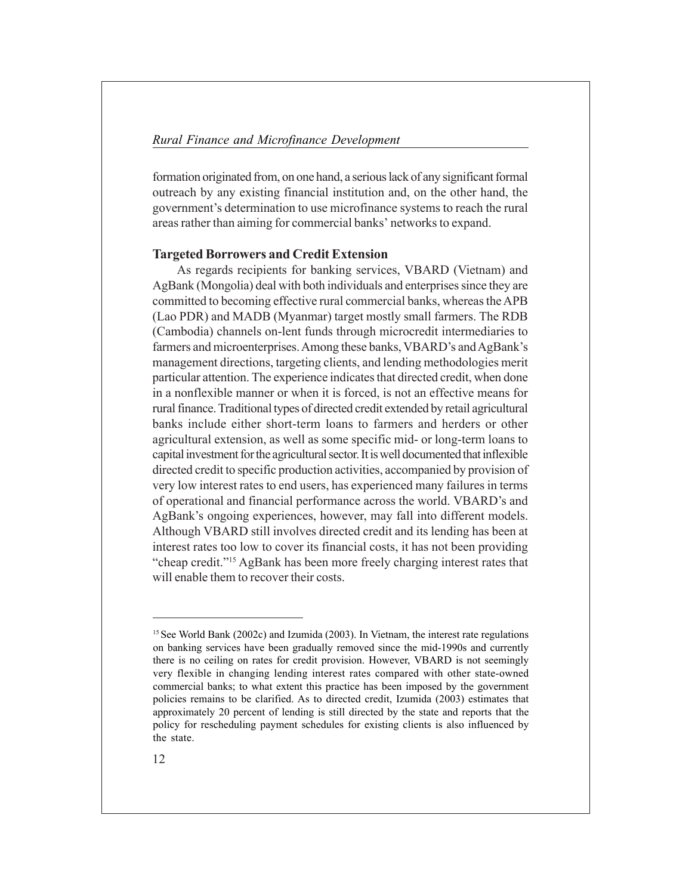formation originated from, on one hand, a serious lack of any significant formal outreach by any existing financial institution and, on the other hand, the government's determination to use microfinance systems to reach the rural areas rather than aiming for commercial banks' networks to expand.

## **Targeted Borrowers and Credit Extension**

As regards recipients for banking services, VBARD (Vietnam) and AgBank (Mongolia) deal with both individuals and enterprises since they are committed to becoming effective rural commercial banks, whereas the APB (Lao PDR) and MADB (Myanmar) target mostly small farmers. The RDB (Cambodia) channels on-lent funds through microcredit intermediaries to farmers and microenterprises. Among these banks, VBARD's and AgBank's management directions, targeting clients, and lending methodologies merit particular attention. The experience indicates that directed credit, when done in a nonflexible manner or when it is forced, is not an effective means for rural finance. Traditional types of directed credit extended by retail agricultural banks include either short-term loans to farmers and herders or other agricultural extension, as well as some specific mid- or long-term loans to capital investment for the agricultural sector. It is well documented that inflexible directed credit to specific production activities, accompanied by provision of very low interest rates to end users, has experienced many failures in terms of operational and financial performance across the world. VBARD's and AgBank's ongoing experiences, however, may fall into different models. Although VBARD still involves directed credit and its lending has been at interest rates too low to cover its financial costs, it has not been providing ìcheap credit.î15 AgBank has been more freely charging interest rates that will enable them to recover their costs.

<sup>&</sup>lt;sup>15</sup> See World Bank (2002c) and Izumida (2003). In Vietnam, the interest rate regulations on banking services have been gradually removed since the mid-1990s and currently there is no ceiling on rates for credit provision. However, VBARD is not seemingly very flexible in changing lending interest rates compared with other state-owned commercial banks; to what extent this practice has been imposed by the government policies remains to be clarified. As to directed credit, Izumida (2003) estimates that approximately 20 percent of lending is still directed by the state and reports that the policy for rescheduling payment schedules for existing clients is also influenced by the state.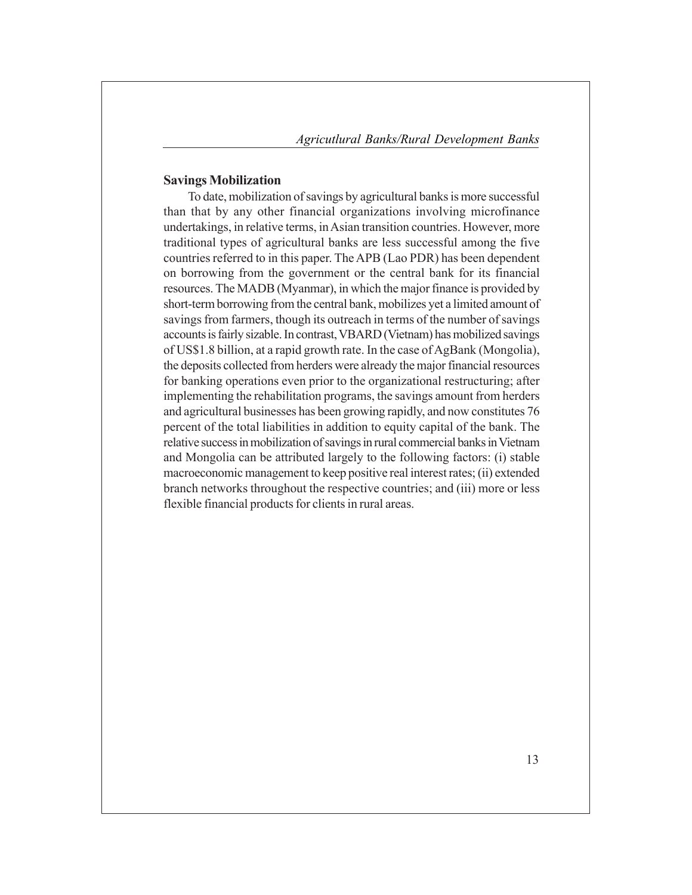#### **Savings Mobilization**

To date, mobilization of savings by agricultural banks is more successful than that by any other financial organizations involving microfinance undertakings, in relative terms, in Asian transition countries. However, more traditional types of agricultural banks are less successful among the five countries referred to in this paper. The APB (Lao PDR) has been dependent on borrowing from the government or the central bank for its financial resources. The MADB (Myanmar), in which the major finance is provided by short-term borrowing from the central bank, mobilizes yet a limited amount of savings from farmers, though its outreach in terms of the number of savings accounts is fairly sizable. In contrast, VBARD (Vietnam) has mobilized savings of US\$1.8 billion, at a rapid growth rate. In the case of AgBank (Mongolia), the deposits collected from herders were already the major financial resources for banking operations even prior to the organizational restructuring; after implementing the rehabilitation programs, the savings amount from herders and agricultural businesses has been growing rapidly, and now constitutes 76 percent of the total liabilities in addition to equity capital of the bank. The relative success in mobilization of savings in rural commercial banks in Vietnam and Mongolia can be attributed largely to the following factors: (i) stable macroeconomic management to keep positive real interest rates; (ii) extended branch networks throughout the respective countries; and (iii) more or less flexible financial products for clients in rural areas.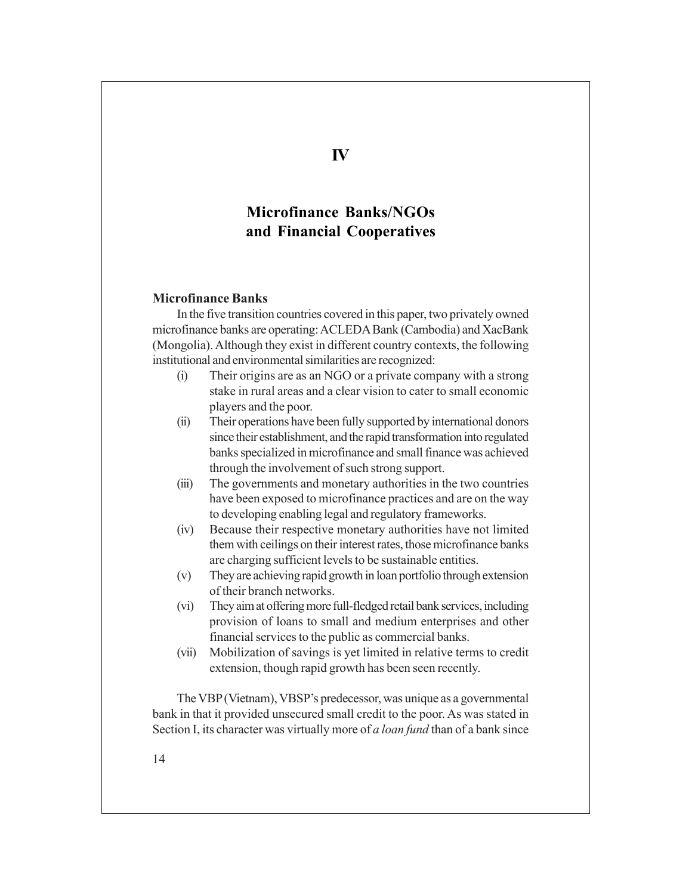# **Microfinance Banks/NGOs and Financial Cooperatives**

#### **Microfinance Banks**

In the five transition countries covered in this paper, two privately owned microfinance banks are operating: ACLEDA Bank (Cambodia) and XacBank (Mongolia). Although they exist in different country contexts, the following institutional and environmental similarities are recognized:

- (i) Their origins are as an NGO or a private company with a strong stake in rural areas and a clear vision to cater to small economic players and the poor.
- (ii) Their operations have been fully supported by international donors since their establishment, and the rapid transformation into regulated banks specialized in microfinance and small finance was achieved through the involvement of such strong support.
- (iii) The governments and monetary authorities in the two countries have been exposed to microfinance practices and are on the way to developing enabling legal and regulatory frameworks.
- (iv) Because their respective monetary authorities have not limited them with ceilings on their interest rates, those microfinance banks are charging sufficient levels to be sustainable entities.
- (v) They are achieving rapid growth in loan portfolio through extension of their branch networks.
- (vi) They aim at offering more full-fledged retail bank services, including provision of loans to small and medium enterprises and other financial services to the public as commercial banks.
- (vii) Mobilization of savings is yet limited in relative terms to credit extension, though rapid growth has been seen recently.

The VBP (Vietnam), VBSP's predecessor, was unique as a governmental bank in that it provided unsecured small credit to the poor. As was stated in Section I, its character was virtually more of *a loan fund* than of a bank since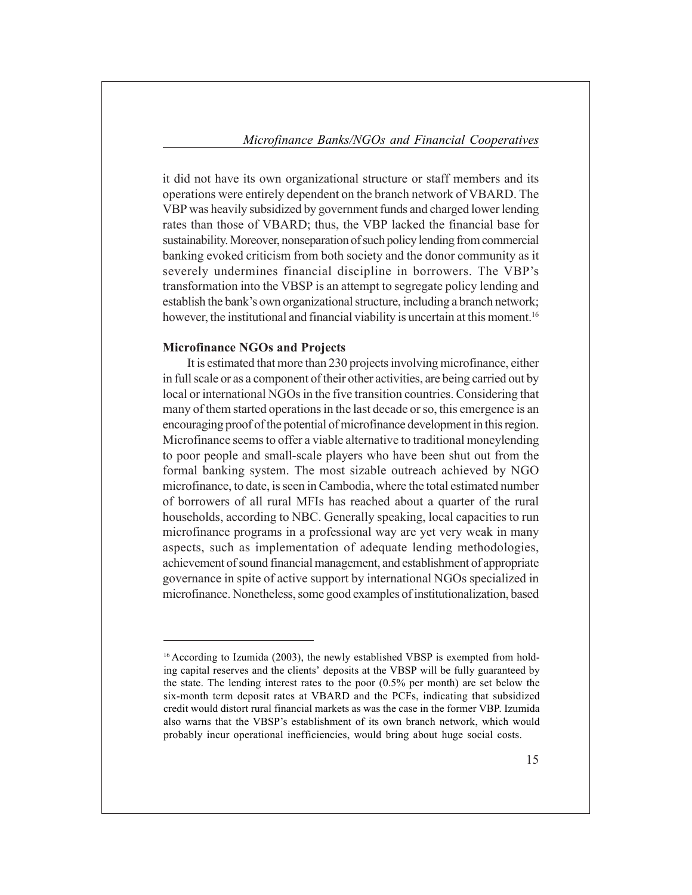it did not have its own organizational structure or staff members and its operations were entirely dependent on the branch network of VBARD. The VBP was heavily subsidized by government funds and charged lower lending rates than those of VBARD; thus, the VBP lacked the financial base for sustainability. Moreover, nonseparation of such policy lending from commercial banking evoked criticism from both society and the donor community as it severely undermines financial discipline in borrowers. The VBP's transformation into the VBSP is an attempt to segregate policy lending and establish the bank's own organizational structure, including a branch network; however, the institutional and financial viability is uncertain at this moment.<sup>16</sup>

#### **Microfinance NGOs and Projects**

It is estimated that more than 230 projects involving microfinance, either in full scale or as a component of their other activities, are being carried out by local or international NGOs in the five transition countries. Considering that many of them started operations in the last decade or so, this emergence is an encouraging proof of the potential of microfinance development in this region. Microfinance seems to offer a viable alternative to traditional moneylending to poor people and small-scale players who have been shut out from the formal banking system. The most sizable outreach achieved by NGO microfinance, to date, is seen in Cambodia, where the total estimated number of borrowers of all rural MFIs has reached about a quarter of the rural households, according to NBC. Generally speaking, local capacities to run microfinance programs in a professional way are yet very weak in many aspects, such as implementation of adequate lending methodologies, achievement of sound financial management, and establishment of appropriate governance in spite of active support by international NGOs specialized in microfinance. Nonetheless, some good examples of institutionalization, based

<sup>&</sup>lt;sup>16</sup> According to Izumida (2003), the newly established VBSP is exempted from holding capital reserves and the clients' deposits at the VBSP will be fully guaranteed by the state. The lending interest rates to the poor (0.5% per month) are set below the six-month term deposit rates at VBARD and the PCFs, indicating that subsidized credit would distort rural financial markets as was the case in the former VBP. Izumida also warns that the VBSP's establishment of its own branch network, which would probably incur operational inefficiencies, would bring about huge social costs.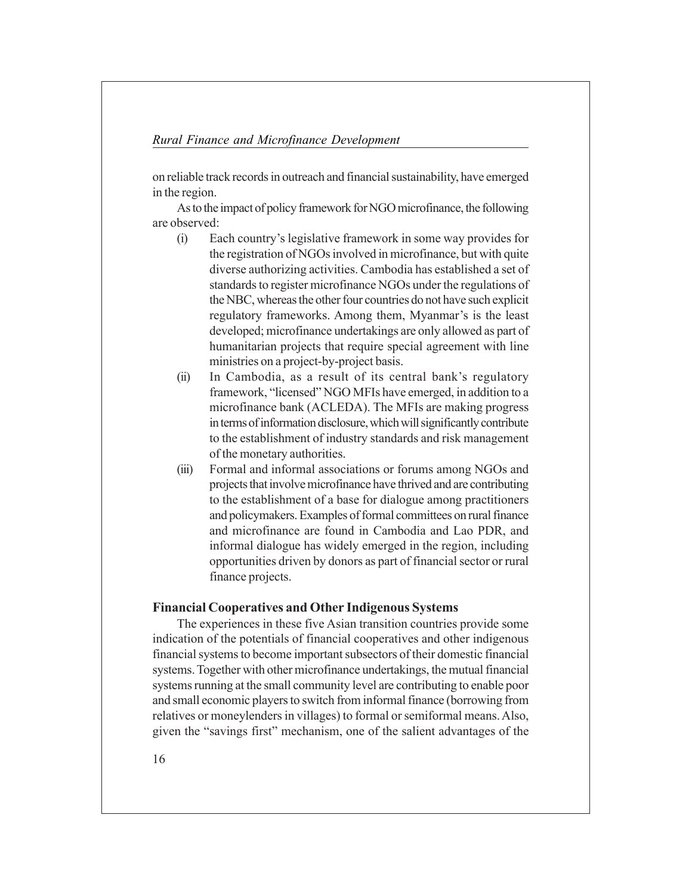on reliable track records in outreach and financial sustainability, have emerged in the region.

As to the impact of policy framework for NGO microfinance, the following are observed:

- (i) Each countryís legislative framework in some way provides for the registration of NGOs involved in microfinance, but with quite diverse authorizing activities. Cambodia has established a set of standards to register microfinance NGOs under the regulations of the NBC, whereas the other four countries do not have such explicit regulatory frameworks. Among them, Myanmar's is the least developed; microfinance undertakings are only allowed as part of humanitarian projects that require special agreement with line ministries on a project-by-project basis.
- $(ii)$  In Cambodia, as a result of its central bank's regulatory framework, "licensed" NGO MFIs have emerged, in addition to a microfinance bank (ACLEDA). The MFIs are making progress in terms of information disclosure, which will significantly contribute to the establishment of industry standards and risk management of the monetary authorities.
- (iii) Formal and informal associations or forums among NGOs and projects that involve microfinance have thrived and are contributing to the establishment of a base for dialogue among practitioners and policymakers. Examples of formal committees on rural finance and microfinance are found in Cambodia and Lao PDR, and informal dialogue has widely emerged in the region, including opportunities driven by donors as part of financial sector or rural finance projects.

## **Financial Cooperatives and Other Indigenous Systems**

The experiences in these five Asian transition countries provide some indication of the potentials of financial cooperatives and other indigenous financial systems to become important subsectors of their domestic financial systems. Together with other microfinance undertakings, the mutual financial systems running at the small community level are contributing to enable poor and small economic players to switch from informal finance (borrowing from relatives or moneylenders in villages) to formal or semiformal means. Also, given the "savings first" mechanism, one of the salient advantages of the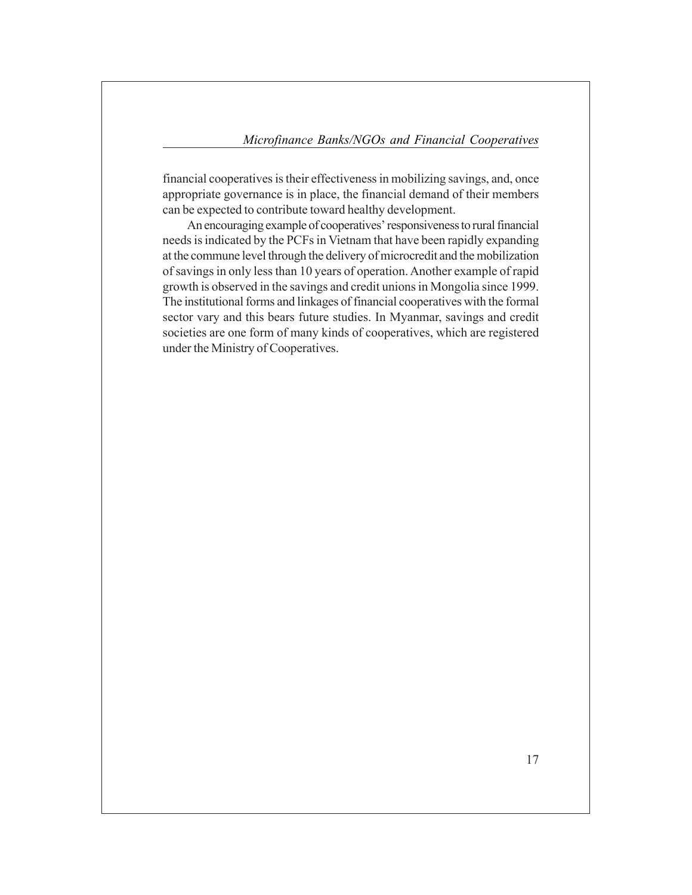financial cooperatives is their effectiveness in mobilizing savings, and, once appropriate governance is in place, the financial demand of their members can be expected to contribute toward healthy development.

An encouraging example of cooperatives' responsiveness to rural financial needs is indicated by the PCFs in Vietnam that have been rapidly expanding at the commune level through the delivery of microcredit and the mobilization of savings in only less than 10 years of operation. Another example of rapid growth is observed in the savings and credit unions in Mongolia since 1999. The institutional forms and linkages of financial cooperatives with the formal sector vary and this bears future studies. In Myanmar, savings and credit societies are one form of many kinds of cooperatives, which are registered under the Ministry of Cooperatives.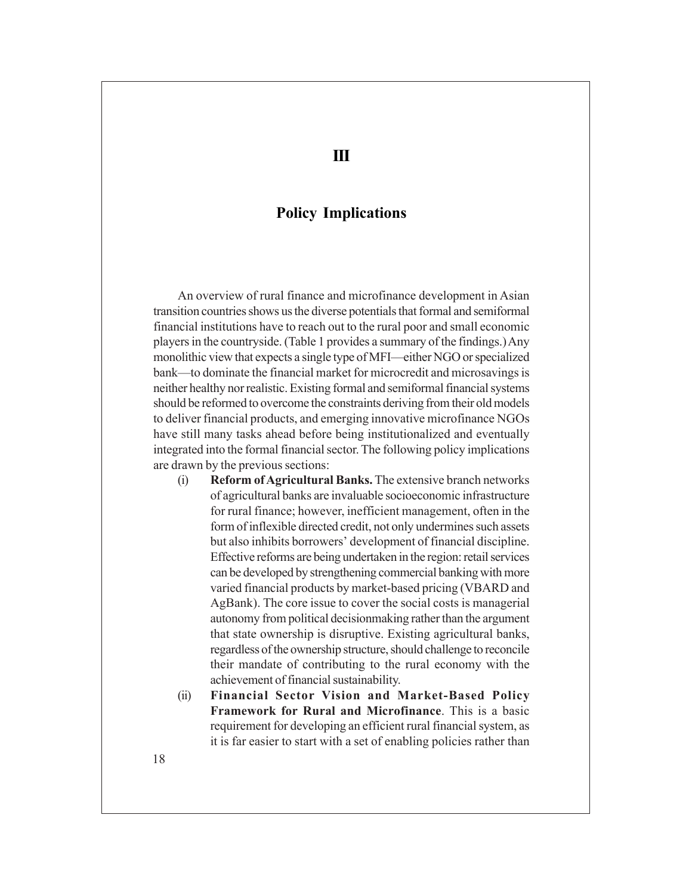# **Policy Implications**

An overview of rural finance and microfinance development in Asian transition countries shows us the diverse potentials that formal and semiformal financial institutions have to reach out to the rural poor and small economic players in the countryside. (Table 1 provides a summary of the findings.) Any monolithic view that expects a single type of MFI—either NGO or specialized bank—to dominate the financial market for microcredit and microsavings is neither healthy nor realistic. Existing formal and semiformal financial systems should be reformed to overcome the constraints deriving from their old models to deliver financial products, and emerging innovative microfinance NGOs have still many tasks ahead before being institutionalized and eventually integrated into the formal financial sector. The following policy implications are drawn by the previous sections:

- (i) **Reform of Agricultural Banks.** The extensive branch networks of agricultural banks are invaluable socioeconomic infrastructure for rural finance; however, inefficient management, often in the form of inflexible directed credit, not only undermines such assets but also inhibits borrowers' development of financial discipline. Effective reforms are being undertaken in the region: retail services can be developed by strengthening commercial banking with more varied financial products by market-based pricing (VBARD and AgBank). The core issue to cover the social costs is managerial autonomy from political decisionmaking rather than the argument that state ownership is disruptive. Existing agricultural banks, regardless of the ownership structure, should challenge to reconcile their mandate of contributing to the rural economy with the achievement of financial sustainability.
- (ii) **Financial Sector Vision and Market-Based Policy Framework for Rural and Microfinance**. This is a basic requirement for developing an efficient rural financial system, as it is far easier to start with a set of enabling policies rather than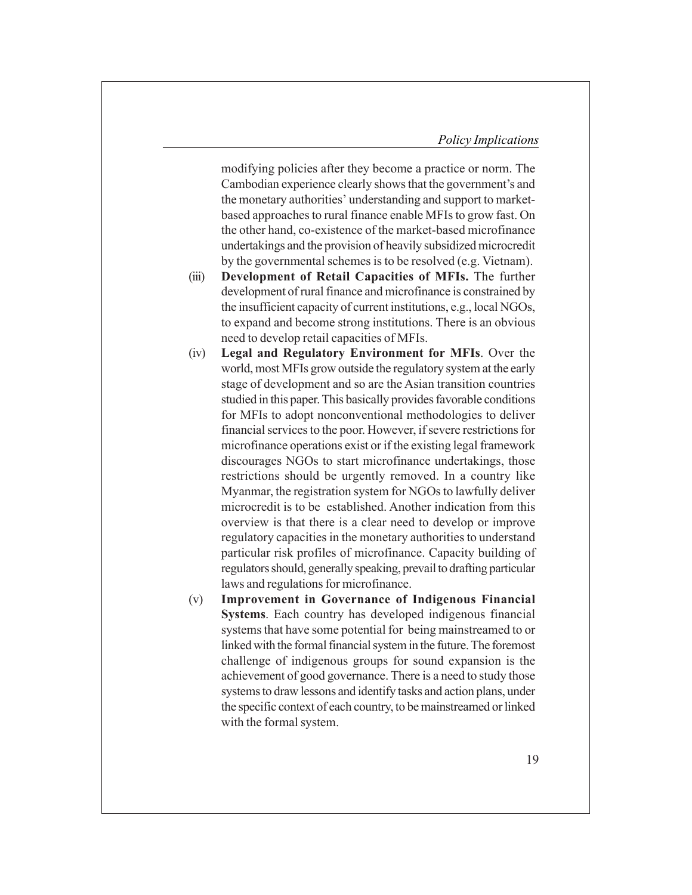modifying policies after they become a practice or norm. The Cambodian experience clearly shows that the government's and the monetary authorities' understanding and support to marketbased approaches to rural finance enable MFIs to grow fast. On the other hand, co-existence of the market-based microfinance undertakings and the provision of heavily subsidized microcredit by the governmental schemes is to be resolved (e.g. Vietnam).

- (iii) **Development of Retail Capacities of MFIs.** The further development of rural finance and microfinance is constrained by the insufficient capacity of current institutions, e.g., local NGOs, to expand and become strong institutions. There is an obvious need to develop retail capacities of MFIs.
- (iv) **Legal and Regulatory Environment for MFIs**. Over the world, most MFIs grow outside the regulatory system at the early stage of development and so are the Asian transition countries studied in this paper. This basically provides favorable conditions for MFIs to adopt nonconventional methodologies to deliver financial services to the poor. However, if severe restrictions for microfinance operations exist or if the existing legal framework discourages NGOs to start microfinance undertakings, those restrictions should be urgently removed. In a country like Myanmar, the registration system for NGOs to lawfully deliver microcredit is to be established. Another indication from this overview is that there is a clear need to develop or improve regulatory capacities in the monetary authorities to understand particular risk profiles of microfinance. Capacity building of regulators should, generally speaking, prevail to drafting particular laws and regulations for microfinance.
- (v) **Improvement in Governance of Indigenous Financial Systems**. Each country has developed indigenous financial systems that have some potential for being mainstreamed to or linked with the formal financial system in the future. The foremost challenge of indigenous groups for sound expansion is the achievement of good governance. There is a need to study those systems to draw lessons and identify tasks and action plans, under the specific context of each country, to be mainstreamed or linked with the formal system.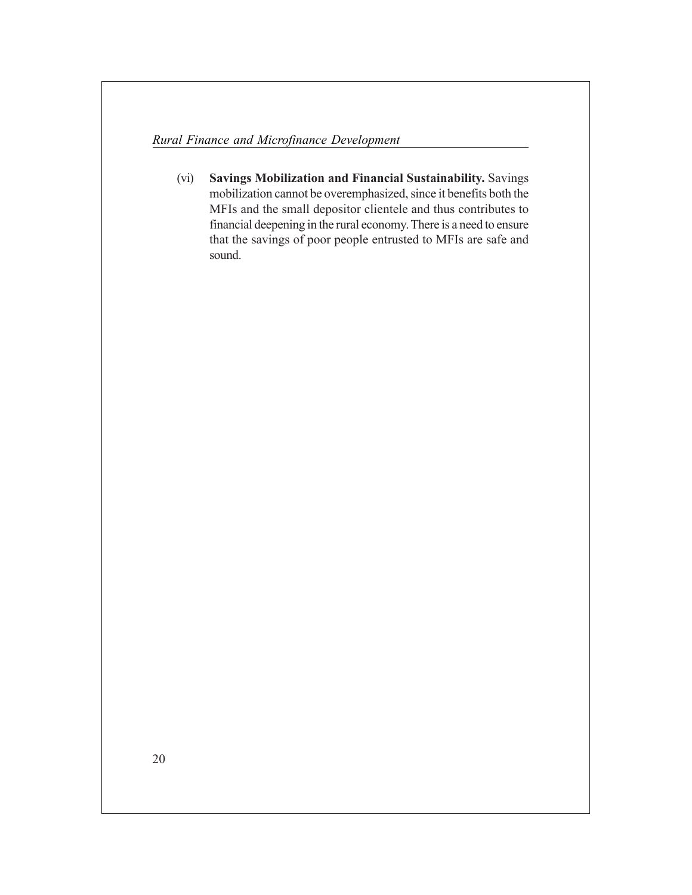(vi) **Savings Mobilization and Financial Sustainability.** Savings mobilization cannot be overemphasized, since it benefits both the MFIs and the small depositor clientele and thus contributes to financial deepening in the rural economy. There is a need to ensure that the savings of poor people entrusted to MFIs are safe and sound.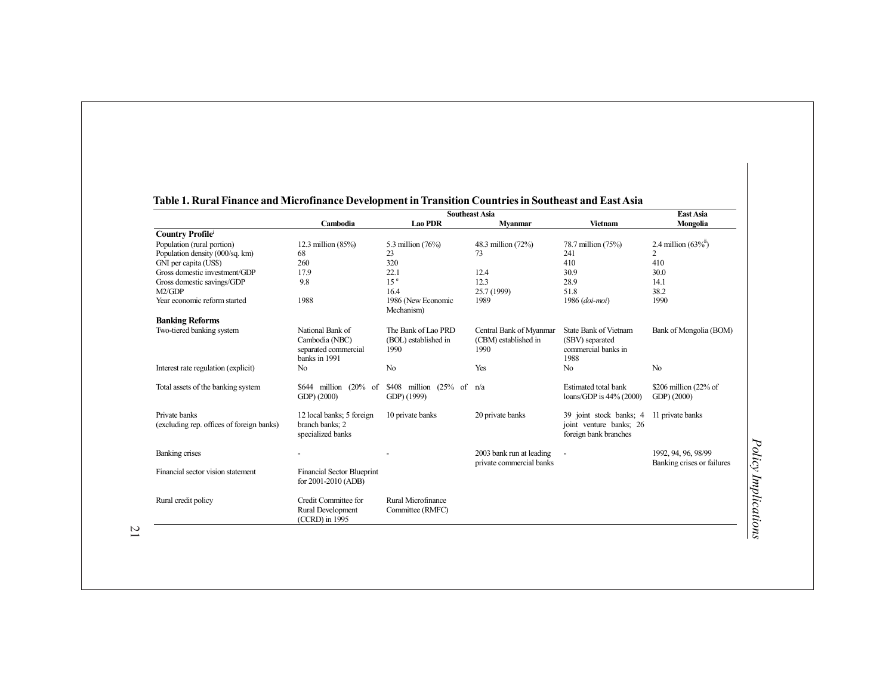|                                                            | <b>Southeast Asia</b>                                                       |                                                     |                                                         |                                                                             | <b>East Asia</b>                                  |
|------------------------------------------------------------|-----------------------------------------------------------------------------|-----------------------------------------------------|---------------------------------------------------------|-----------------------------------------------------------------------------|---------------------------------------------------|
|                                                            | Cambodia                                                                    | <b>Lao PDR</b>                                      | <b>Myanmar</b>                                          | <b>Vietnam</b>                                                              | Mongolia                                          |
| <b>Country Profile</b>                                     |                                                                             |                                                     |                                                         |                                                                             |                                                   |
| Population (rural portion)                                 | 12.3 million $(85%)$                                                        | 5.3 million (76%)                                   | 48.3 million (72%)                                      | 78.7 million (75%)                                                          | 2.4 million $(63\%^{n})$                          |
| Population density (000/sq. km)                            | 68                                                                          | 23                                                  | 73                                                      | 241                                                                         | 2                                                 |
| GNI per capita (US\$)                                      | 260                                                                         | 320                                                 |                                                         | 410                                                                         | 410                                               |
| Gross domestic investment/GDP                              | 17.9                                                                        | 22.1                                                | 12.4                                                    | 30.9                                                                        | 30.0                                              |
| Gross domestic savings/GDP                                 | 9.8                                                                         | 15 <sup>e</sup>                                     | 12.3                                                    | 28.9                                                                        | 14.1                                              |
| M2/GDP                                                     |                                                                             | 16.4                                                | 25.7 (1999)                                             | 51.8                                                                        | 38.2                                              |
| Year economic reform started                               | 1988                                                                        | 1986 (New Economic<br>Mechanism)                    | 1989                                                    | 1986 (doi-moi)                                                              | 1990                                              |
| <b>Banking Reforms</b>                                     |                                                                             |                                                     |                                                         |                                                                             |                                                   |
| Two-tiered banking system                                  | National Bank of<br>Cambodia (NBC)<br>separated commercial<br>banks in 1991 | The Bank of Lao PRD<br>(BOL) established in<br>1990 | Central Bank of Myanmar<br>(CBM) established in<br>1990 | State Bank of Vietnam<br>(SBV) separated<br>commercial banks in<br>1988     | Bank of Mongolia (BOM)                            |
| Interest rate regulation (explicit)                        | N <sub>0</sub>                                                              | N <sub>0</sub>                                      | Yes                                                     | N <sub>0</sub>                                                              | N <sub>0</sub>                                    |
| Total assets of the banking system                         | \$644 million<br>$(20% \text{ of }$<br>GDP) (2000)                          | \$408 million (25% of<br>GDP) (1999)                | n/a                                                     | Estimated total bank<br>loans/GDP is 44% (2000)                             | \$206 million (22% of<br>GDP(2000)                |
| Private banks<br>(excluding rep. offices of foreign banks) | 12 local banks; 5 foreign<br>branch banks: 2<br>specialized banks           | 10 private banks                                    | 20 private banks                                        | 39 joint stock banks; 4<br>joint venture banks: 26<br>foreign bank branches | 11 private banks                                  |
| Banking crises                                             |                                                                             |                                                     | 2003 bank run at leading<br>private commercial banks    |                                                                             | 1992, 94, 96, 98/99<br>Banking crises or failures |
| Financial sector vision statement                          | <b>Financial Sector Blueprint</b><br>for 2001-2010 (ADB)                    |                                                     |                                                         |                                                                             |                                                   |
| Rural credit policy                                        | Credit Committee for<br>Rural Development<br>(CCRD) in 1995                 | Rural Microfinance<br>Committee (RMFC)              |                                                         |                                                                             |                                                   |

#### **Table 1. Rural Finance and Microfinance Development in Transition Countries in Southeast and East Asia**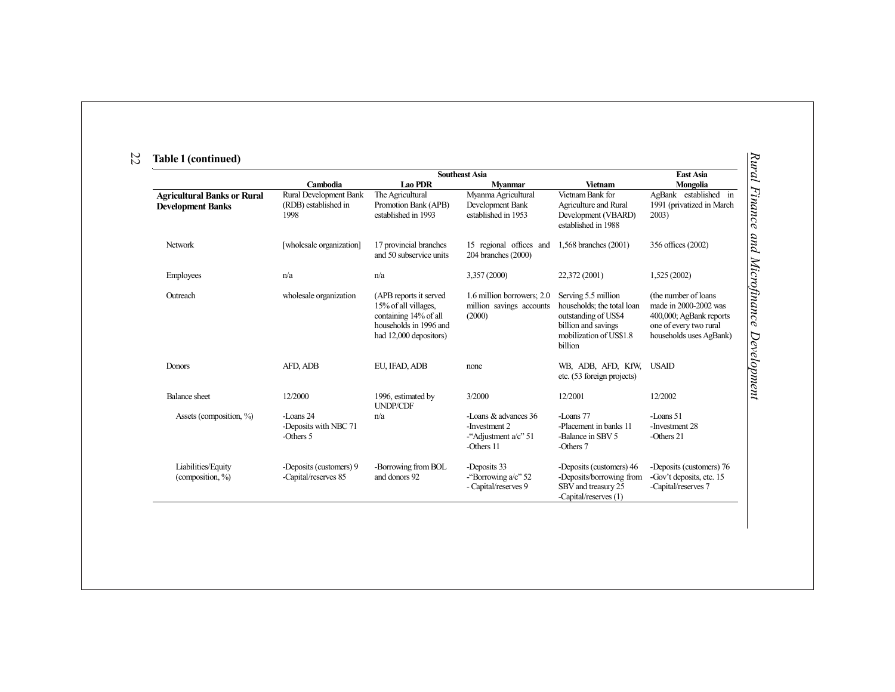|                                            | <b>Southeast Asia</b>                             |                                                                                                                             |                                                                                |                                                                                                                                        | East Asia                                                                                                                      |  |
|--------------------------------------------|---------------------------------------------------|-----------------------------------------------------------------------------------------------------------------------------|--------------------------------------------------------------------------------|----------------------------------------------------------------------------------------------------------------------------------------|--------------------------------------------------------------------------------------------------------------------------------|--|
|                                            | Cambodia                                          | <b>Lao PDR</b>                                                                                                              | <b>Myanmar</b>                                                                 | <b>Vietnam</b>                                                                                                                         | Mongolia                                                                                                                       |  |
| <b>Agricultural Banks or Rural</b>         | Rural Development Bank                            | The Agricultural                                                                                                            | Myanma Agricultural                                                            | Vietnam Bank for                                                                                                                       | AgBank established in                                                                                                          |  |
| <b>Development Banks</b>                   | (RDB) established in<br>1998                      | Promotion Bank (APB)<br>established in 1993                                                                                 | Development Bank<br>established in 1953                                        | Agriculture and Rural<br>Development (VBARD)<br>established in 1988                                                                    | 1991 (privatized in March<br>2003)                                                                                             |  |
| Network                                    | [wholesale organization]                          | 17 provincial branches<br>and 50 subservice units                                                                           | 15 regional offices and<br>204 branches (2000)                                 | 1,568 branches (2001)                                                                                                                  | 356 offices (2002)                                                                                                             |  |
| Employees                                  | n/a                                               | n/a                                                                                                                         | 3,357 (2000)                                                                   | 22,372 (2001)                                                                                                                          | 1,525 (2002)                                                                                                                   |  |
| Outreach                                   | wholesale organization                            | (APB reports it served<br>15% of all villages,<br>containing 14% of all<br>households in 1996 and<br>had 12,000 depositors) | 1.6 million borrowers; 2.0<br>million savings accounts<br>(2000)               | Serving 5.5 million<br>households; the total loan<br>outstanding of US\$4<br>billion and savings<br>mobilization of US\$1.8<br>billion | (the number of loans)<br>made in 2000-2002 was<br>400,000; AgBank reports<br>one of every two rural<br>households uses AgBank) |  |
| Donors                                     | AFD, ADB                                          | EU, IFAD, ADB                                                                                                               | none                                                                           | WB, ADB, AFD, KfW,<br>etc. (53 foreign projects)                                                                                       | <b>USAID</b>                                                                                                                   |  |
| <b>Balance</b> sheet                       | 12/2000                                           | 1996, estimated by<br><b>UNDP/CDF</b>                                                                                       | 3/2000                                                                         | 12/2001                                                                                                                                | 12/2002                                                                                                                        |  |
| Assets (composition, %)                    | -Loans 24<br>-Deposits with NBC 71<br>-Others $5$ | n/a                                                                                                                         | -Loans & advances 36<br>-Investment 2<br>-"Adjustment $a/c$ " 51<br>-Others 11 | -Loans 77<br>-Placement in banks 11<br>-Balance in SBV 5<br>-Others 7                                                                  | -Loans 51<br>-Investment 28<br>-Others $21$                                                                                    |  |
| Liabilities/Equity<br>(composition, $\%$ ) | -Deposits (customers) 9<br>-Capital/reserves 85   | -Borrowing from BOL<br>and donors 92                                                                                        | -Deposits 33<br>-"Borrowing $a/c$ " 52<br>- Capital/reserves 9                 | -Deposits (customers) 46<br>-Deposits/borrowing from<br>SBV and treasury 25<br>-Capital/reserves (1)                                   | -Deposits (customers) 76<br>-Gov't deposits, etc. 15<br>-Capital/reserves 7                                                    |  |

### 22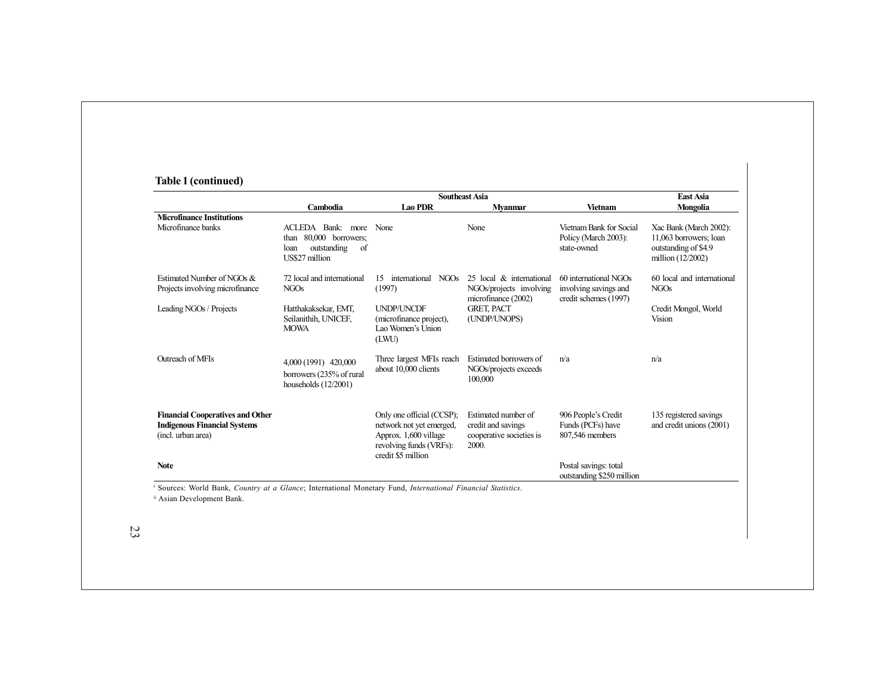# **Table 1 (continued)**

|                                                                                                      | <b>Southeast Asia</b>                                                                                       |                                                                                                                                 |                                                                                                                 |                                                                         | East Asia                                                                                     |
|------------------------------------------------------------------------------------------------------|-------------------------------------------------------------------------------------------------------------|---------------------------------------------------------------------------------------------------------------------------------|-----------------------------------------------------------------------------------------------------------------|-------------------------------------------------------------------------|-----------------------------------------------------------------------------------------------|
|                                                                                                      | Cambodia                                                                                                    | <b>Lao PDR</b>                                                                                                                  | <b>Myanmar</b>                                                                                                  | Vietnam                                                                 | <b>Mongolia</b>                                                                               |
| <b>Microfinance Institutions</b><br>Microfinance banks                                               | Bank: more<br>ACLEDA<br>80,000 borrowers;<br>than<br>outstanding<br><sub>of</sub><br>loan<br>US\$27 million | None                                                                                                                            | None                                                                                                            | Vietnam Bank for Social<br>Policy (March 2003):<br>state-owned          | Xac Bank (March 2002):<br>11,063 borrowers; loan<br>outstanding of \$4.9<br>million (12/2002) |
| Estimated Number of NGOs &<br>Projects involving microfinance                                        | 72 local and international<br>NGO <sub>s</sub>                                                              | NGO <sub>S</sub><br>15<br>international<br>(1997)                                                                               | 25 local & international<br>NGOs/projects involving<br>microfinance (2002)<br><b>GRET, PACT</b><br>(UNDP/UNOPS) | 60 international NGOs<br>involving savings and<br>credit schemes (1997) | 60 local and international<br>NGO <sub>s</sub>                                                |
| Leading NGOs / Projects                                                                              | Hatthakaksekar, EMT,<br>Seilanithih, UNICEF,<br><b>MOWA</b>                                                 | <b>UNDP/UNCDF</b><br>(microfinance project),<br>Lao Women's Union<br>(LWU)                                                      |                                                                                                                 |                                                                         | Credit Mongol, World<br>Vision                                                                |
| Outreach of MFIs                                                                                     | 4,000 (1991) 420,000<br>borrowers (235% of rural<br>households $(12/2001)$                                  | Three largest MFIs reach<br>about 10,000 clients                                                                                | Estimated borrowers of<br>NGOs/projects exceeds<br>100,000                                                      | n/a                                                                     | n/a                                                                                           |
| <b>Financial Cooperatives and Other</b><br><b>Indigenous Financial Systems</b><br>(incl. urban area) |                                                                                                             | Only one official (CCSP);<br>network not yet emerged,<br>Approx. 1,600 village<br>revolving funds (VRFs):<br>credit \$5 million | Estimated number of<br>credit and savings<br>cooperative societies is<br>2000.                                  | 906 People's Credit<br>Funds (PCFs) have<br>807,546 members             | 135 registered savings<br>and credit unions (2001)                                            |
| <b>Note</b>                                                                                          |                                                                                                             |                                                                                                                                 |                                                                                                                 | Postal savings: total<br>outstanding \$250 million                      |                                                                                               |

i Sources: World Bank, *Country at a Glance*; International Monetary Fund, *International Financial Statistics*.

ii Asian Development Bank.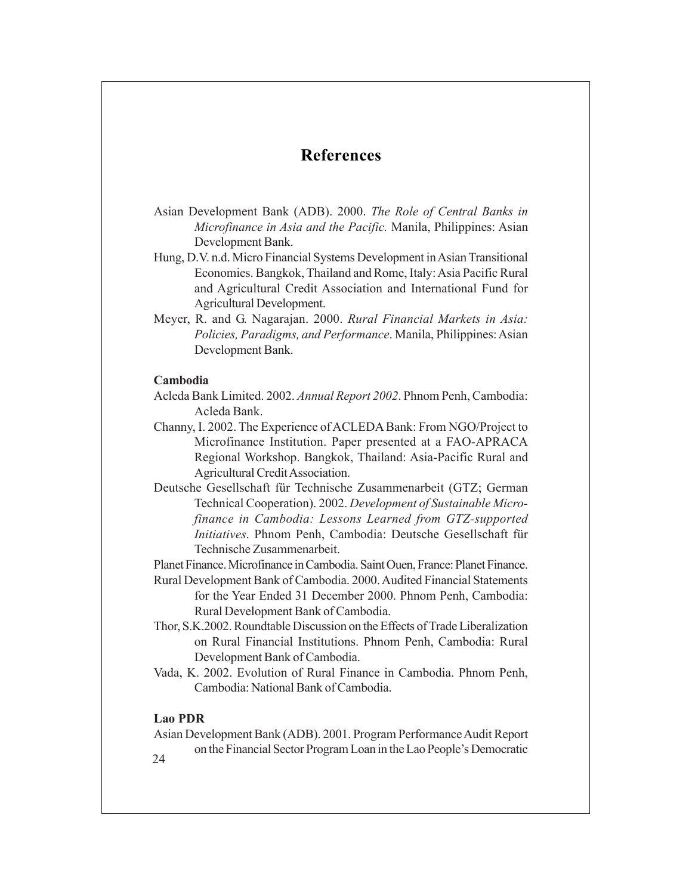# **References**

- Asian Development Bank (ADB). 2000. *The Role of Central Banks in Microfinance in Asia and the Pacific.* Manila, Philippines: Asian Development Bank.
- Hung, D.V. n.d. Micro Financial Systems Development in Asian Transitional Economies. Bangkok, Thailand and Rome, Italy: Asia Pacific Rural and Agricultural Credit Association and International Fund for Agricultural Development.
- Meyer, R. and G. Nagarajan. 2000. *Rural Financial Markets in Asia: Policies, Paradigms, and Performance*. Manila, Philippines: Asian Development Bank.

#### **Cambodia**

- Acleda Bank Limited. 2002. *Annual Report 2002*. Phnom Penh, Cambodia: Acleda Bank.
- Channy, I. 2002. The Experience of ACLEDA Bank: From NGO/Project to Microfinance Institution. Paper presented at a FAO-APRACA Regional Workshop. Bangkok, Thailand: Asia-Pacific Rural and Agricultural Credit Association.
- Deutsche Gesellschaft für Technische Zusammenarbeit (GTZ; German Technical Cooperation). 2002. *Development of Sustainable Microfinance in Cambodia: Lessons Learned from GTZ-supported Initiatives*, Phnom Penh, Cambodia: Deutsche Gesellschaft für Technische Zusammenarbeit.

Planet Finance. Microfinance in Cambodia. Saint Ouen, France: Planet Finance.

- Rural Development Bank of Cambodia. 2000. Audited Financial Statements for the Year Ended 31 December 2000. Phnom Penh, Cambodia: Rural Development Bank of Cambodia.
- Thor, S.K.2002. Roundtable Discussion on the Effects of Trade Liberalization on Rural Financial Institutions. Phnom Penh, Cambodia: Rural Development Bank of Cambodia.
- Vada, K. 2002. Evolution of Rural Finance in Cambodia. Phnom Penh, Cambodia: National Bank of Cambodia.

#### **Lao PDR**

Asian Development Bank (ADB). 2001. Program Performance Audit Report on the Financial Sector Program Loan in the Lao People's Democratic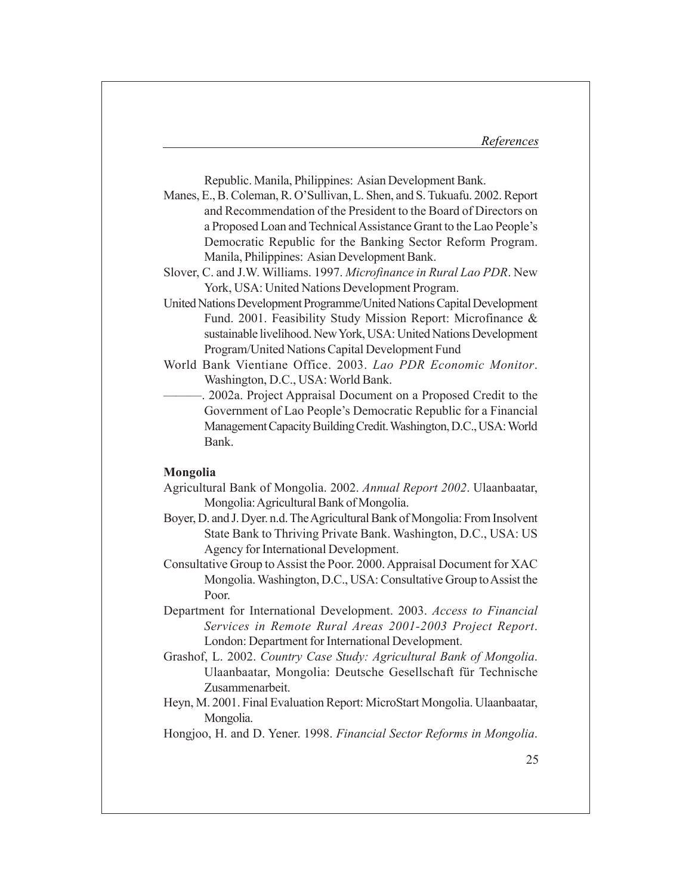Republic. Manila, Philippines: Asian Development Bank.

- Manes, E., B. Coleman, R. O'Sullivan, L. Shen, and S. Tukuafu. 2002. Report and Recommendation of the President to the Board of Directors on a Proposed Loan and Technical Assistance Grant to the Lao People's Democratic Republic for the Banking Sector Reform Program. Manila, Philippines: Asian Development Bank.
- Slover, C. and J.W. Williams. 1997. *Microfinance in Rural Lao PDR*. New York, USA: United Nations Development Program.
- United Nations Development Programme/United Nations Capital Development Fund. 2001. Feasibility Study Mission Report: Microfinance & sustainable livelihood. New York, USA: United Nations Development Program/United Nations Capital Development Fund
- World Bank Vientiane Office. 2003. *Lao PDR Economic Monitor*. Washington, D.C., USA: World Bank.
	- $-$ . 2002a. Project Appraisal Document on a Proposed Credit to the Government of Lao People's Democratic Republic for a Financial Management Capacity Building Credit. Washington, D.C., USA: World Bank.

#### **Mongolia**

- Agricultural Bank of Mongolia. 2002. *Annual Report 2002*. Ulaanbaatar, Mongolia: Agricultural Bank of Mongolia.
- Boyer, D. and J. Dyer. n.d. The Agricultural Bank of Mongolia: From Insolvent State Bank to Thriving Private Bank. Washington, D.C., USA: US Agency for International Development.
- Consultative Group to Assist the Poor. 2000. Appraisal Document for XAC Mongolia. Washington, D.C., USA: Consultative Group to Assist the Poor.
- Department for International Development. 2003. *Access to Financial Services in Remote Rural Areas 2001-2003 Project Report*. London: Department for International Development.
- Grashof, L. 2002. *Country Case Study: Agricultural Bank of Mongolia*. Ulaanbaatar, Mongolia: Deutsche Gesellschaft für Technische Zusammenarbeit.
- Heyn, M. 2001. Final Evaluation Report: MicroStart Mongolia. Ulaanbaatar, Mongolia.
- Hongjoo, H. and D. Yener. 1998. *Financial Sector Reforms in Mongolia*.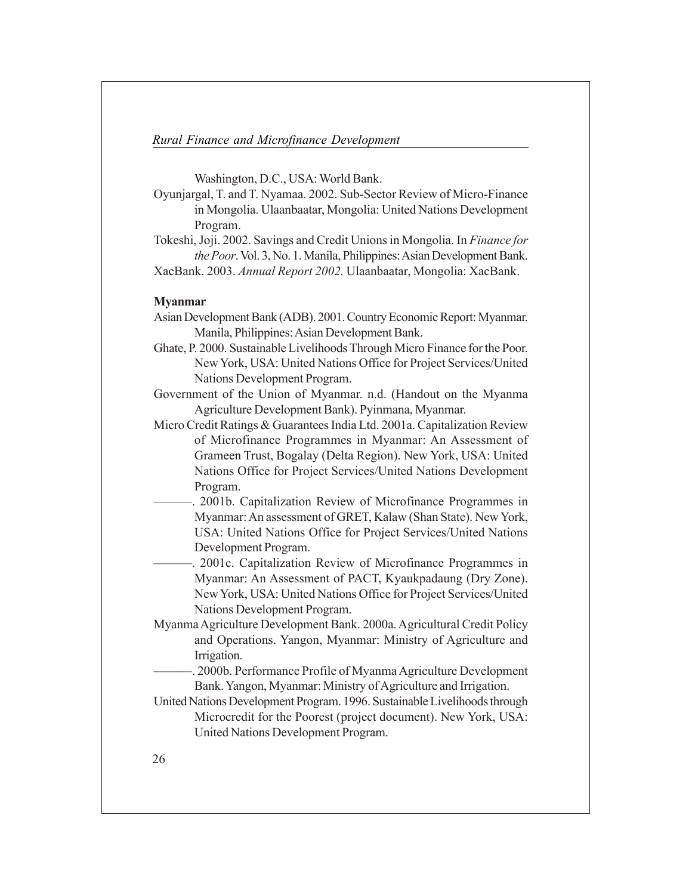Washington, D.C., USA: World Bank.

- Oyunjargal, T. and T. Nyamaa. 2002. Sub-Sector Review of Micro-Finance in Mongolia. Ulaanbaatar, Mongolia: United Nations Development Program.
- Tokeshi, Joji. 2002. Savings and Credit Unions in Mongolia. In *Finance for the Poor*. Vol. 3, No. 1. Manila, Philippines: Asian Development Bank.

# XacBank. 2003. *Annual Report 2002.* Ulaanbaatar, Mongolia: XacBank.

#### **Myanmar**

- Asian Development Bank (ADB). 2001. Country Economic Report: Myanmar. Manila, Philippines: Asian Development Bank.
- Ghate, P. 2000. Sustainable Livelihoods Through Micro Finance for the Poor. New York, USA: United Nations Office for Project Services/United Nations Development Program.
- Government of the Union of Myanmar. n.d. (Handout on the Myanma Agriculture Development Bank). Pyinmana, Myanmar.
- Micro Credit Ratings & Guarantees India Ltd. 2001a. Capitalization Review of Microfinance Programmes in Myanmar: An Assessment of Grameen Trust, Bogalay (Delta Region). New York, USA: United Nations Office for Project Services/United Nations Development Program.
	- -. 2001b. Capitalization Review of Microfinance Programmes in Myanmar: An assessment of GRET, Kalaw (Shan State). New York, USA: United Nations Office for Project Services/United Nations Development Program.
		- $-$ . 2001c. Capitalization Review of Microfinance Programmes in Myanmar: An Assessment of PACT, Kyaukpadaung (Dry Zone). New York, USA: United Nations Office for Project Services/United Nations Development Program.
- Myanma Agriculture Development Bank. 2000a. Agricultural Credit Policy and Operations. Yangon, Myanmar: Ministry of Agriculture and Irrigation.
- -. 2000b. Performance Profile of Myanma Agriculture Development Bank. Yangon, Myanmar: Ministry of Agriculture and Irrigation.
- United Nations Development Program. 1996. Sustainable Livelihoods through Microcredit for the Poorest (project document). New York, USA: United Nations Development Program.